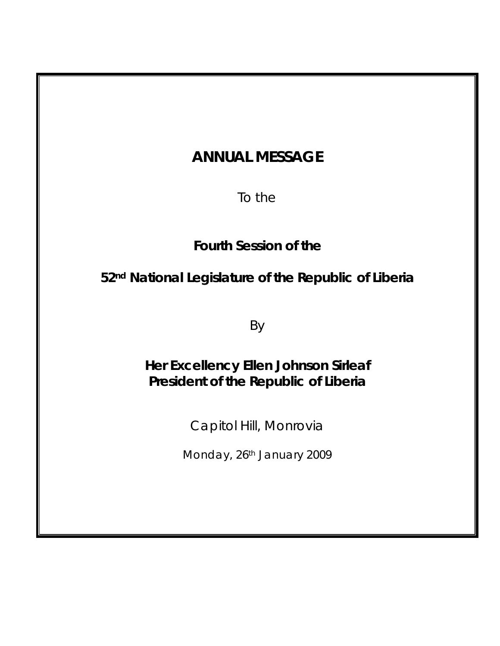# **ANNUAL MESSAGE**

To the

**Fourth Session of the** 

**52nd National Legislature of the Republic of Liberia** 

By

**Her Excellency Ellen Johnson Sirleaf President of the Republic of Liberia** 

Capitol Hill, Monrovia

Monday, 26<sup>th</sup> January 2009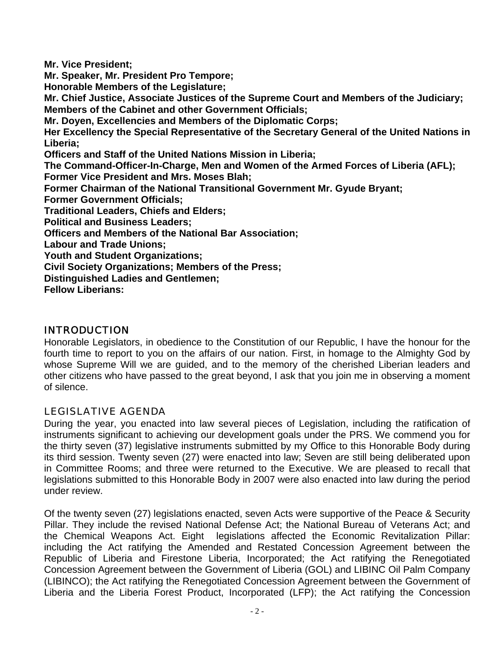**Mr. Vice President; Mr. Speaker, Mr. President Pro Tempore; Honorable Members of the Legislature; Mr. Chief Justice, Associate Justices of the Supreme Court and Members of the Judiciary; Members of the Cabinet and other Government Officials; Mr. Doyen, Excellencies and Members of the Diplomatic Corps; Her Excellency the Special Representative of the Secretary General of the United Nations in Liberia; Officers and Staff of the United Nations Mission in Liberia; The Command-Officer-In-Charge, Men and Women of the Armed Forces of Liberia (AFL); Former Vice President and Mrs. Moses Blah; Former Chairman of the National Transitional Government Mr. Gyude Bryant; Former Government Officials; Traditional Leaders, Chiefs and Elders; Political and Business Leaders; Officers and Members of the National Bar Association; Labour and Trade Unions; Youth and Student Organizations; Civil Society Organizations; Members of the Press; Distinguished Ladies and Gentlemen;** 

**Fellow Liberians:** 

# INTRODUCTION

Honorable Legislators, in obedience to the Constitution of our Republic, I have the honour for the fourth time to report to you on the affairs of our nation. First, in homage to the Almighty God by whose Supreme Will we are guided, and to the memory of the cherished Liberian leaders and other citizens who have passed to the great beyond, I ask that you join me in observing a moment of silence.

# LEGISLATIVE AGENDA

During the year, you enacted into law several pieces of Legislation, including the ratification of instruments significant to achieving our development goals under the PRS. We commend you for the thirty seven (37) legislative instruments submitted by my Office to this Honorable Body during its third session. Twenty seven (27) were enacted into law; Seven are still being deliberated upon in Committee Rooms; and three were returned to the Executive. We are pleased to recall that legislations submitted to this Honorable Body in 2007 were also enacted into law during the period under review.

Of the twenty seven (27) legislations enacted, seven Acts were supportive of the Peace & Security Pillar. They include the revised National Defense Act; the National Bureau of Veterans Act; and the Chemical Weapons Act. Eight legislations affected the Economic Revitalization Pillar: including the Act ratifying the Amended and Restated Concession Agreement between the Republic of Liberia and Firestone Liberia, Incorporated; the Act ratifying the Renegotiated Concession Agreement between the Government of Liberia (GOL) and LIBINC Oil Palm Company (LIBINCO); the Act ratifying the Renegotiated Concession Agreement between the Government of Liberia and the Liberia Forest Product, Incorporated (LFP); the Act ratifying the Concession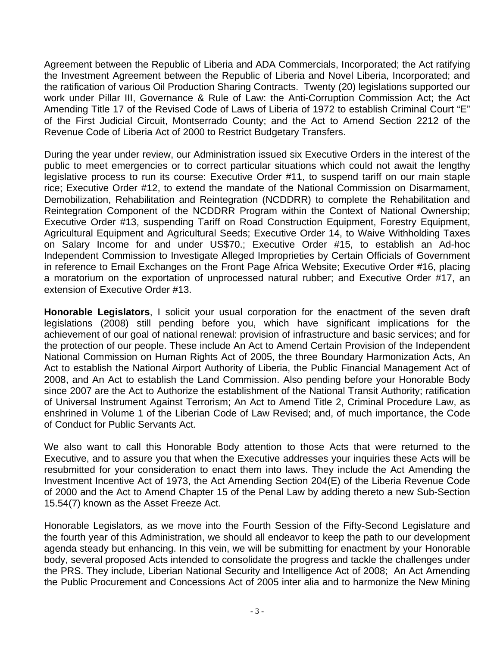Agreement between the Republic of Liberia and ADA Commercials, Incorporated; the Act ratifying the Investment Agreement between the Republic of Liberia and Novel Liberia, Incorporated; and the ratification of various Oil Production Sharing Contracts. Twenty (20) legislations supported our work under Pillar III, Governance & Rule of Law: the Anti-Corruption Commission Act; the Act Amending Title 17 of the Revised Code of Laws of Liberia of 1972 to establish Criminal Court "E" of the First Judicial Circuit, Montserrado County; and the Act to Amend Section 2212 of the Revenue Code of Liberia Act of 2000 to Restrict Budgetary Transfers.

During the year under review, our Administration issued six Executive Orders in the interest of the public to meet emergencies or to correct particular situations which could not await the lengthy legislative process to run its course: Executive Order #11, to suspend tariff on our main staple rice; Executive Order #12, to extend the mandate of the National Commission on Disarmament, Demobilization, Rehabilitation and Reintegration (NCDDRR) to complete the Rehabilitation and Reintegration Component of the NCDDRR Program within the Context of National Ownership; Executive Order #13, suspending Tariff on Road Construction Equipment, Forestry Equipment, Agricultural Equipment and Agricultural Seeds; Executive Order 14, to Waive Withholding Taxes on Salary Income for and under US\$70.; Executive Order #15, to establish an Ad-hoc Independent Commission to Investigate Alleged Improprieties by Certain Officials of Government in reference to Email Exchanges on the Front Page Africa Website; Executive Order #16, placing a moratorium on the exportation of unprocessed natural rubber; and Executive Order #17, an extension of Executive Order #13.

**Honorable Legislators**, I solicit your usual corporation for the enactment of the seven draft legislations (2008) still pending before you, which have significant implications for the achievement of our goal of national renewal: provision of infrastructure and basic services; and for the protection of our people. These include An Act to Amend Certain Provision of the Independent National Commission on Human Rights Act of 2005, the three Boundary Harmonization Acts, An Act to establish the National Airport Authority of Liberia, the Public Financial Management Act of 2008, and An Act to establish the Land Commission. Also pending before your Honorable Body since 2007 are the Act to Authorize the establishment of the National Transit Authority; ratification of Universal Instrument Against Terrorism; An Act to Amend Title 2, Criminal Procedure Law, as enshrined in Volume 1 of the Liberian Code of Law Revised; and, of much importance, the Code of Conduct for Public Servants Act.

We also want to call this Honorable Body attention to those Acts that were returned to the Executive, and to assure you that when the Executive addresses your inquiries these Acts will be resubmitted for your consideration to enact them into laws. They include the Act Amending the Investment Incentive Act of 1973, the Act Amending Section 204(E) of the Liberia Revenue Code of 2000 and the Act to Amend Chapter 15 of the Penal Law by adding thereto a new Sub-Section 15.54(7) known as the Asset Freeze Act.

Honorable Legislators, as we move into the Fourth Session of the Fifty-Second Legislature and the fourth year of this Administration, we should all endeavor to keep the path to our development agenda steady but enhancing. In this vein, we will be submitting for enactment by your Honorable body, several proposed Acts intended to consolidate the progress and tackle the challenges under the PRS. They include, Liberian National Security and Intelligence Act of 2008; An Act Amending the Public Procurement and Concessions Act of 2005 inter alia and to harmonize the New Mining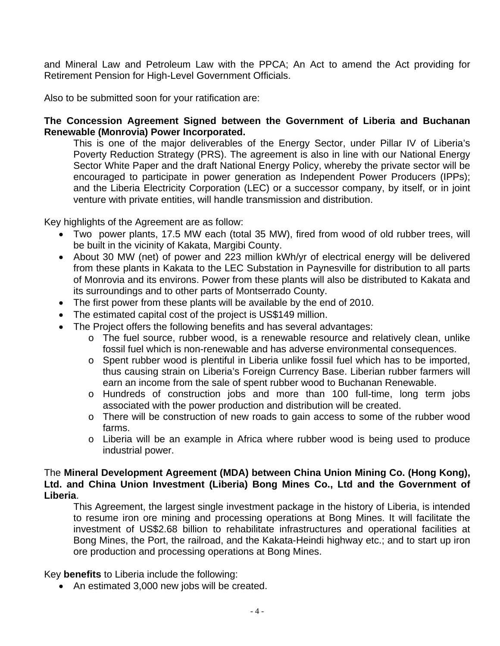and Mineral Law and Petroleum Law with the PPCA; An Act to amend the Act providing for Retirement Pension for High-Level Government Officials.

Also to be submitted soon for your ratification are:

#### **The Concession Agreement Signed between the Government of Liberia and Buchanan Renewable (Monrovia) Power Incorporated.**

This is one of the major deliverables of the Energy Sector, under Pillar IV of Liberia's Poverty Reduction Strategy (PRS). The agreement is also in line with our National Energy Sector White Paper and the draft National Energy Policy, whereby the private sector will be encouraged to participate in power generation as Independent Power Producers (IPPs); and the Liberia Electricity Corporation (LEC) or a successor company, by itself, or in joint venture with private entities, will handle transmission and distribution.

Key highlights of the Agreement are as follow:

- Two power plants, 17.5 MW each (total 35 MW), fired from wood of old rubber trees, will be built in the vicinity of Kakata, Margibi County.
- About 30 MW (net) of power and 223 million kWh/yr of electrical energy will be delivered from these plants in Kakata to the LEC Substation in Paynesville for distribution to all parts of Monrovia and its environs. Power from these plants will also be distributed to Kakata and its surroundings and to other parts of Montserrado County.
- The first power from these plants will be available by the end of 2010.
- The estimated capital cost of the project is US\$149 million.
- The Project offers the following benefits and has several advantages:
	- o The fuel source, rubber wood, is a renewable resource and relatively clean, unlike fossil fuel which is non-renewable and has adverse environmental consequences.
	- o Spent rubber wood is plentiful in Liberia unlike fossil fuel which has to be imported, thus causing strain on Liberia's Foreign Currency Base. Liberian rubber farmers will earn an income from the sale of spent rubber wood to Buchanan Renewable.
	- o Hundreds of construction jobs and more than 100 full-time, long term jobs associated with the power production and distribution will be created.
	- o There will be construction of new roads to gain access to some of the rubber wood farms.
	- o Liberia will be an example in Africa where rubber wood is being used to produce industrial power.

#### The **Mineral Development Agreement (MDA) between China Union Mining Co. (Hong Kong), Ltd. and China Union Investment (Liberia) Bong Mines Co., Ltd and the Government of Liberia**.

This Agreement, the largest single investment package in the history of Liberia, is intended to resume iron ore mining and processing operations at Bong Mines. It will facilitate the investment of US\$2.68 billion to rehabilitate infrastructures and operational facilities at Bong Mines, the Port, the railroad, and the Kakata-Heindi highway etc.; and to start up iron ore production and processing operations at Bong Mines.

Key **benefits** to Liberia include the following:

• An estimated 3,000 new jobs will be created.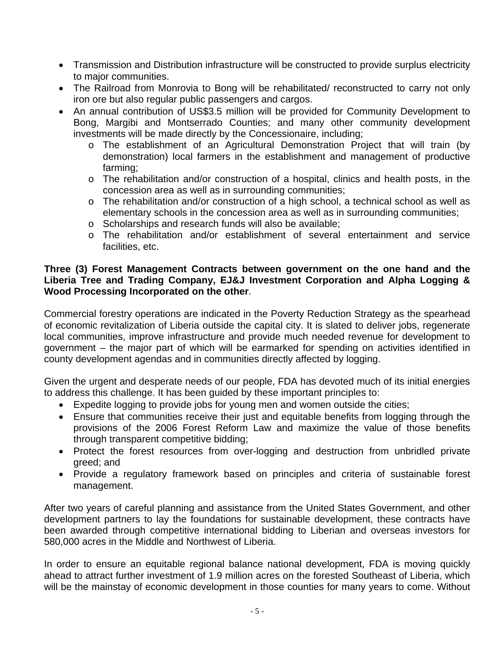- Transmission and Distribution infrastructure will be constructed to provide surplus electricity to major communities.
- The Railroad from Monrovia to Bong will be rehabilitated/ reconstructed to carry not only iron ore but also regular public passengers and cargos.
- An annual contribution of US\$3.5 million will be provided for Community Development to Bong, Margibi and Montserrado Counties; and many other community development investments will be made directly by the Concessionaire, including;
	- o The establishment of an Agricultural Demonstration Project that will train (by demonstration) local farmers in the establishment and management of productive farming;
	- o The rehabilitation and/or construction of a hospital, clinics and health posts, in the concession area as well as in surrounding communities;
	- o The rehabilitation and/or construction of a high school, a technical school as well as elementary schools in the concession area as well as in surrounding communities;
	- o Scholarships and research funds will also be available;
	- o The rehabilitation and/or establishment of several entertainment and service facilities, etc.

## **Three (3) Forest Management Contracts between government on the one hand and the Liberia Tree and Trading Company, EJ&J Investment Corporation and Alpha Logging & Wood Processing Incorporated on the other**.

Commercial forestry operations are indicated in the Poverty Reduction Strategy as the spearhead of economic revitalization of Liberia outside the capital city. It is slated to deliver jobs, regenerate local communities, improve infrastructure and provide much needed revenue for development to government – the major part of which will be earmarked for spending on activities identified in county development agendas and in communities directly affected by logging.

Given the urgent and desperate needs of our people, FDA has devoted much of its initial energies to address this challenge. It has been guided by these important principles to:

- Expedite logging to provide jobs for young men and women outside the cities;
- Ensure that communities receive their just and equitable benefits from logging through the provisions of the 2006 Forest Reform Law and maximize the value of those benefits through transparent competitive bidding;
- Protect the forest resources from over-logging and destruction from unbridled private greed; and
- Provide a regulatory framework based on principles and criteria of sustainable forest management.

After two years of careful planning and assistance from the United States Government, and other development partners to lay the foundations for sustainable development, these contracts have been awarded through competitive international bidding to Liberian and overseas investors for 580,000 acres in the Middle and Northwest of Liberia.

In order to ensure an equitable regional balance national development, FDA is moving quickly ahead to attract further investment of 1.9 million acres on the forested Southeast of Liberia, which will be the mainstay of economic development in those counties for many years to come. Without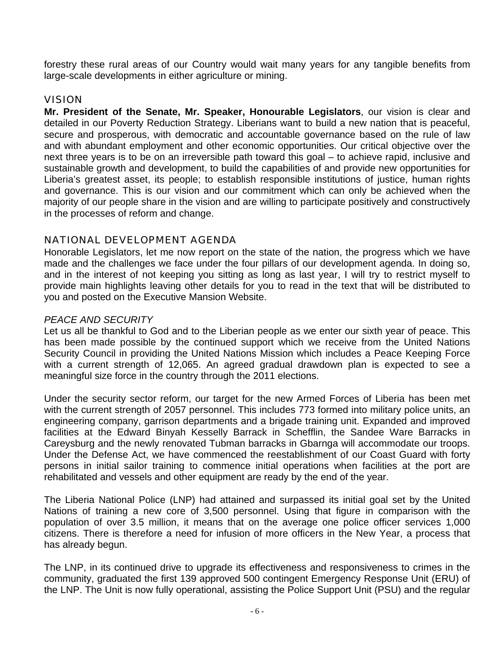forestry these rural areas of our Country would wait many years for any tangible benefits from large-scale developments in either agriculture or mining.

## VISION

**Mr. President of the Senate, Mr. Speaker, Honourable Legislators**, our vision is clear and detailed in our Poverty Reduction Strategy. Liberians want to build a new nation that is peaceful, secure and prosperous, with democratic and accountable governance based on the rule of law and with abundant employment and other economic opportunities. Our critical objective over the next three years is to be on an irreversible path toward this goal – to achieve rapid, inclusive and sustainable growth and development, to build the capabilities of and provide new opportunities for Liberia's greatest asset, its people; to establish responsible institutions of justice, human rights and governance. This is our vision and our commitment which can only be achieved when the majority of our people share in the vision and are willing to participate positively and constructively in the processes of reform and change.

## NATIONAL DEVELOPMENT AGENDA

Honorable Legislators, let me now report on the state of the nation, the progress which we have made and the challenges we face under the four pillars of our development agenda. In doing so, and in the interest of not keeping you sitting as long as last year, I will try to restrict myself to provide main highlights leaving other details for you to read in the text that will be distributed to you and posted on the Executive Mansion Website.

## *PEACE AND SECURITY*

Let us all be thankful to God and to the Liberian people as we enter our sixth year of peace. This has been made possible by the continued support which we receive from the United Nations Security Council in providing the United Nations Mission which includes a Peace Keeping Force with a current strength of 12,065. An agreed gradual drawdown plan is expected to see a meaningful size force in the country through the 2011 elections.

Under the security sector reform, our target for the new Armed Forces of Liberia has been met with the current strength of 2057 personnel. This includes 773 formed into military police units, an engineering company, garrison departments and a brigade training unit. Expanded and improved facilities at the Edward Binyah Kesselly Barrack in Schefflin, the Sandee Ware Barracks in Careysburg and the newly renovated Tubman barracks in Gbarnga will accommodate our troops. Under the Defense Act, we have commenced the reestablishment of our Coast Guard with forty persons in initial sailor training to commence initial operations when facilities at the port are rehabilitated and vessels and other equipment are ready by the end of the year.

The Liberia National Police (LNP) had attained and surpassed its initial goal set by the United Nations of training a new core of 3,500 personnel. Using that figure in comparison with the population of over 3.5 million, it means that on the average one police officer services 1,000 citizens. There is therefore a need for infusion of more officers in the New Year, a process that has already begun.

The LNP, in its continued drive to upgrade its effectiveness and responsiveness to crimes in the community, graduated the first 139 approved 500 contingent Emergency Response Unit (ERU) of the LNP. The Unit is now fully operational, assisting the Police Support Unit (PSU) and the regular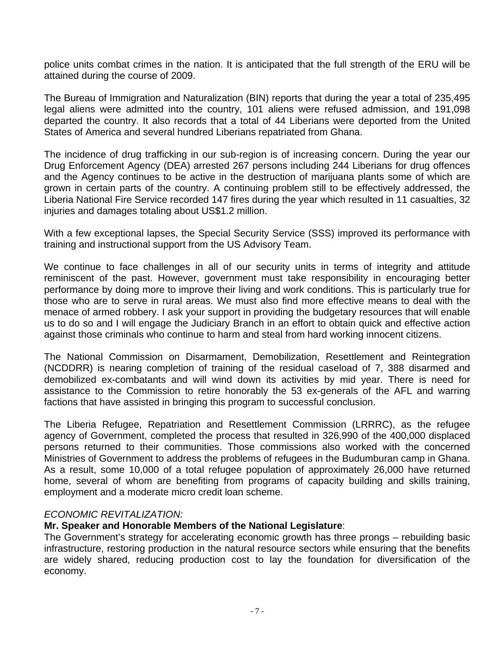police units combat crimes in the nation. It is anticipated that the full strength of the ERU will be attained during the course of 2009.

The Bureau of Immigration and Naturalization (BIN) reports that during the year a total of 235,495 legal aliens were admitted into the country, 101 aliens were refused admission, and 191,098 departed the country. It also records that a total of 44 Liberians were deported from the United States of America and several hundred Liberians repatriated from Ghana.

The incidence of drug trafficking in our sub-region is of increasing concern. During the year our Drug Enforcement Agency (DEA) arrested 267 persons including 244 Liberians for drug offences and the Agency continues to be active in the destruction of marijuana plants some of which are grown in certain parts of the country. A continuing problem still to be effectively addressed, the Liberia National Fire Service recorded 147 fires during the year which resulted in 11 casualties, 32 injuries and damages totaling about US\$1.2 million.

With a few exceptional lapses, the Special Security Service (SSS) improved its performance with training and instructional support from the US Advisory Team.

We continue to face challenges in all of our security units in terms of integrity and attitude reminiscent of the past. However, government must take responsibility in encouraging better performance by doing more to improve their living and work conditions. This is particularly true for those who are to serve in rural areas. We must also find more effective means to deal with the menace of armed robbery. I ask your support in providing the budgetary resources that will enable us to do so and I will engage the Judiciary Branch in an effort to obtain quick and effective action against those criminals who continue to harm and steal from hard working innocent citizens.

The National Commission on Disarmament, Demobilization, Resettlement and Reintegration (NCDDRR) is nearing completion of training of the residual caseload of 7, 388 disarmed and demobilized ex-combatants and will wind down its activities by mid year. There is need for assistance to the Commission to retire honorably the 53 ex-generals of the AFL and warring factions that have assisted in bringing this program to successful conclusion.

The Liberia Refugee, Repatriation and Resettlement Commission (LRRRC), as the refugee agency of Government, completed the process that resulted in 326,990 of the 400,000 displaced persons returned to their communities. Those commissions also worked with the concerned Ministries of Government to address the problems of refugees in the Budumburan camp in Ghana. As a result, some 10,000 of a total refugee population of approximately 26,000 have returned home, several of whom are benefiting from programs of capacity building and skills training, employment and a moderate micro credit loan scheme.

#### *ECONOMIC REVITALIZATION:*

#### **Mr. Speaker and Honorable Members of the National Legislature**:

The Government's strategy for accelerating economic growth has three prongs – rebuilding basic infrastructure, restoring production in the natural resource sectors while ensuring that the benefits are widely shared, reducing production cost to lay the foundation for diversification of the economy.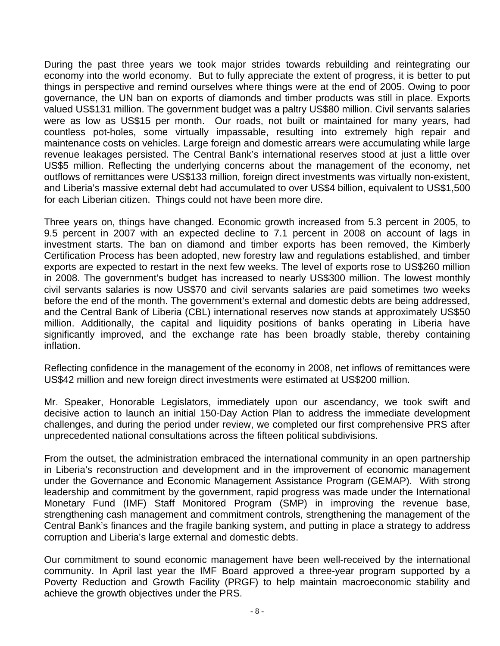During the past three years we took major strides towards rebuilding and reintegrating our economy into the world economy. But to fully appreciate the extent of progress, it is better to put things in perspective and remind ourselves where things were at the end of 2005. Owing to poor governance, the UN ban on exports of diamonds and timber products was still in place. Exports valued US\$131 million. The government budget was a paltry US\$80 million. Civil servants salaries were as low as US\$15 per month. Our roads, not built or maintained for many years, had countless pot-holes, some virtually impassable, resulting into extremely high repair and maintenance costs on vehicles. Large foreign and domestic arrears were accumulating while large revenue leakages persisted. The Central Bank's international reserves stood at just a little over US\$5 million. Reflecting the underlying concerns about the management of the economy, net outflows of remittances were US\$133 million, foreign direct investments was virtually non-existent, and Liberia's massive external debt had accumulated to over US\$4 billion, equivalent to US\$1,500 for each Liberian citizen. Things could not have been more dire.

Three years on, things have changed. Economic growth increased from 5.3 percent in 2005, to 9.5 percent in 2007 with an expected decline to 7.1 percent in 2008 on account of lags in investment starts. The ban on diamond and timber exports has been removed, the Kimberly Certification Process has been adopted, new forestry law and regulations established, and timber exports are expected to restart in the next few weeks. The level of exports rose to US\$260 million in 2008. The government's budget has increased to nearly US\$300 million. The lowest monthly civil servants salaries is now US\$70 and civil servants salaries are paid sometimes two weeks before the end of the month. The government's external and domestic debts are being addressed, and the Central Bank of Liberia (CBL) international reserves now stands at approximately US\$50 million. Additionally, the capital and liquidity positions of banks operating in Liberia have significantly improved, and the exchange rate has been broadly stable, thereby containing inflation.

Reflecting confidence in the management of the economy in 2008, net inflows of remittances were US\$42 million and new foreign direct investments were estimated at US\$200 million.

Mr. Speaker, Honorable Legislators, immediately upon our ascendancy, we took swift and decisive action to launch an initial 150-Day Action Plan to address the immediate development challenges, and during the period under review, we completed our first comprehensive PRS after unprecedented national consultations across the fifteen political subdivisions.

From the outset, the administration embraced the international community in an open partnership in Liberia's reconstruction and development and in the improvement of economic management under the Governance and Economic Management Assistance Program (GEMAP). With strong leadership and commitment by the government, rapid progress was made under the International Monetary Fund (IMF) Staff Monitored Program (SMP) in improving the revenue base, strengthening cash management and commitment controls, strengthening the management of the Central Bank's finances and the fragile banking system, and putting in place a strategy to address corruption and Liberia's large external and domestic debts.

Our commitment to sound economic management have been well-received by the international community. In April last year the IMF Board approved a three-year program supported by a Poverty Reduction and Growth Facility (PRGF) to help maintain macroeconomic stability and achieve the growth objectives under the PRS.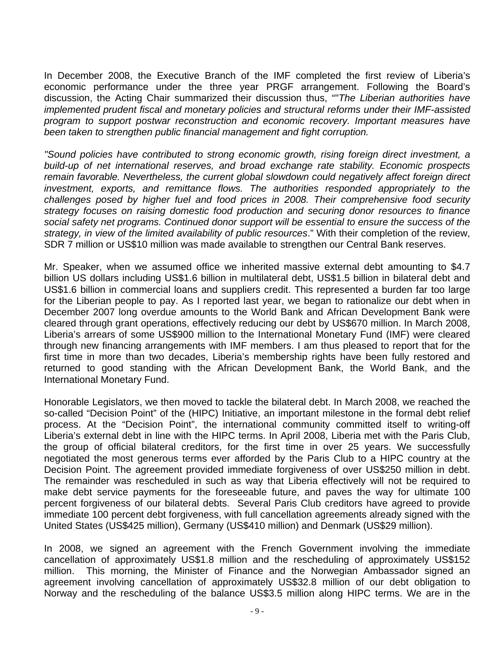In December 2008, the Executive Branch of the IMF completed the first review of Liberia's economic performance under the three year PRGF arrangement. Following the Board's discussion, the Acting Chair summarized their discussion thus, ""*The Liberian authorities have implemented prudent fiscal and monetary policies and structural reforms under their IMF-assisted program to support postwar reconstruction and economic recovery. Important measures have been taken to strengthen public financial management and fight corruption.* 

*"Sound policies have contributed to strong economic growth, rising foreign direct investment, a build-up of net international reserves, and broad exchange rate stability. Economic prospects remain favorable. Nevertheless, the current global slowdown could negatively affect foreign direct investment, exports, and remittance flows. The authorities responded appropriately to the challenges posed by higher fuel and food prices in 2008. Their comprehensive food security strategy focuses on raising domestic food production and securing donor resources to finance social safety net programs. Continued donor support will be essential to ensure the success of the strategy, in view of the limited availability of public resources*." With their completion of the review, SDR 7 million or US\$10 million was made available to strengthen our Central Bank reserves.

Mr. Speaker, when we assumed office we inherited massive external debt amounting to \$4.7 billion US dollars including US\$1.6 billion in multilateral debt, US\$1.5 billion in bilateral debt and US\$1.6 billion in commercial loans and suppliers credit. This represented a burden far too large for the Liberian people to pay. As I reported last year, we began to rationalize our debt when in December 2007 long overdue amounts to the World Bank and African Development Bank were cleared through grant operations, effectively reducing our debt by US\$670 million. In March 2008, Liberia's arrears of some US\$900 million to the International Monetary Fund (IMF) were cleared through new financing arrangements with IMF members. I am thus pleased to report that for the first time in more than two decades, Liberia's membership rights have been fully restored and returned to good standing with the African Development Bank, the World Bank, and the International Monetary Fund.

Honorable Legislators, we then moved to tackle the bilateral debt. In March 2008, we reached the so-called "Decision Point" of the (HIPC) Initiative, an important milestone in the formal debt relief process. At the "Decision Point", the international community committed itself to writing-off Liberia's external debt in line with the HIPC terms. In April 2008, Liberia met with the Paris Club, the group of official bilateral creditors, for the first time in over 25 years. We successfully negotiated the most generous terms ever afforded by the Paris Club to a HIPC country at the Decision Point. The agreement provided immediate forgiveness of over US\$250 million in debt. The remainder was rescheduled in such as way that Liberia effectively will not be required to make debt service payments for the foreseeable future, and paves the way for ultimate 100 percent forgiveness of our bilateral debts. Several Paris Club creditors have agreed to provide immediate 100 percent debt forgiveness, with full cancellation agreements already signed with the United States (US\$425 million), Germany (US\$410 million) and Denmark (US\$29 million).

In 2008, we signed an agreement with the French Government involving the immediate cancellation of approximately US\$1.8 million and the rescheduling of approximately US\$152 million. This morning, the Minister of Finance and the Norwegian Ambassador signed an agreement involving cancellation of approximately US\$32.8 million of our debt obligation to Norway and the rescheduling of the balance US\$3.5 million along HIPC terms. We are in the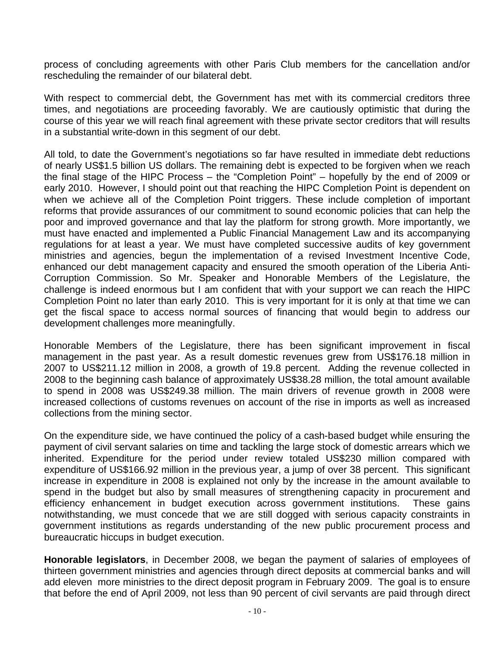process of concluding agreements with other Paris Club members for the cancellation and/or rescheduling the remainder of our bilateral debt.

With respect to commercial debt, the Government has met with its commercial creditors three times, and negotiations are proceeding favorably. We are cautiously optimistic that during the course of this year we will reach final agreement with these private sector creditors that will results in a substantial write-down in this segment of our debt.

All told, to date the Government's negotiations so far have resulted in immediate debt reductions of nearly US\$1.5 billion US dollars. The remaining debt is expected to be forgiven when we reach the final stage of the HIPC Process – the "Completion Point" – hopefully by the end of 2009 or early 2010. However, I should point out that reaching the HIPC Completion Point is dependent on when we achieve all of the Completion Point triggers. These include completion of important reforms that provide assurances of our commitment to sound economic policies that can help the poor and improved governance and that lay the platform for strong growth. More importantly, we must have enacted and implemented a Public Financial Management Law and its accompanying regulations for at least a year. We must have completed successive audits of key government ministries and agencies, begun the implementation of a revised Investment Incentive Code, enhanced our debt management capacity and ensured the smooth operation of the Liberia Anti-Corruption Commission. So Mr. Speaker and Honorable Members of the Legislature, the challenge is indeed enormous but I am confident that with your support we can reach the HIPC Completion Point no later than early 2010. This is very important for it is only at that time we can get the fiscal space to access normal sources of financing that would begin to address our development challenges more meaningfully.

Honorable Members of the Legislature, there has been significant improvement in fiscal management in the past year. As a result domestic revenues grew from US\$176.18 million in 2007 to US\$211.12 million in 2008, a growth of 19.8 percent. Adding the revenue collected in 2008 to the beginning cash balance of approximately US\$38.28 million, the total amount available to spend in 2008 was US\$249.38 million. The main drivers of revenue growth in 2008 were increased collections of customs revenues on account of the rise in imports as well as increased collections from the mining sector.

On the expenditure side, we have continued the policy of a cash-based budget while ensuring the payment of civil servant salaries on time and tackling the large stock of domestic arrears which we inherited. Expenditure for the period under review totaled US\$230 million compared with expenditure of US\$166.92 million in the previous year, a jump of over 38 percent. This significant increase in expenditure in 2008 is explained not only by the increase in the amount available to spend in the budget but also by small measures of strengthening capacity in procurement and efficiency enhancement in budget execution across government institutions. These gains notwithstanding, we must concede that we are still dogged with serious capacity constraints in government institutions as regards understanding of the new public procurement process and bureaucratic hiccups in budget execution.

**Honorable legislators**, in December 2008, we began the payment of salaries of employees of thirteen government ministries and agencies through direct deposits at commercial banks and will add eleven more ministries to the direct deposit program in February 2009. The goal is to ensure that before the end of April 2009, not less than 90 percent of civil servants are paid through direct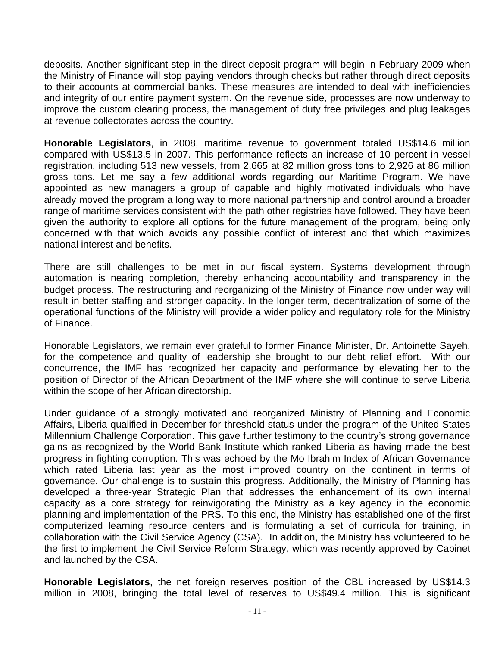deposits. Another significant step in the direct deposit program will begin in February 2009 when the Ministry of Finance will stop paying vendors through checks but rather through direct deposits to their accounts at commercial banks. These measures are intended to deal with inefficiencies and integrity of our entire payment system. On the revenue side, processes are now underway to improve the custom clearing process, the management of duty free privileges and plug leakages at revenue collectorates across the country.

**Honorable Legislators**, in 2008, maritime revenue to government totaled US\$14.6 million compared with US\$13.5 in 2007. This performance reflects an increase of 10 percent in vessel registration, including 513 new vessels, from 2,665 at 82 million gross tons to 2,926 at 86 million gross tons. Let me say a few additional words regarding our Maritime Program. We have appointed as new managers a group of capable and highly motivated individuals who have already moved the program a long way to more national partnership and control around a broader range of maritime services consistent with the path other registries have followed. They have been given the authority to explore all options for the future management of the program, being only concerned with that which avoids any possible conflict of interest and that which maximizes national interest and benefits.

There are still challenges to be met in our fiscal system. Systems development through automation is nearing completion, thereby enhancing accountability and transparency in the budget process. The restructuring and reorganizing of the Ministry of Finance now under way will result in better staffing and stronger capacity. In the longer term, decentralization of some of the operational functions of the Ministry will provide a wider policy and regulatory role for the Ministry of Finance.

Honorable Legislators, we remain ever grateful to former Finance Minister, Dr. Antoinette Sayeh, for the competence and quality of leadership she brought to our debt relief effort. With our concurrence, the IMF has recognized her capacity and performance by elevating her to the position of Director of the African Department of the IMF where she will continue to serve Liberia within the scope of her African directorship.

Under guidance of a strongly motivated and reorganized Ministry of Planning and Economic Affairs, Liberia qualified in December for threshold status under the program of the United States Millennium Challenge Corporation. This gave further testimony to the country's strong governance gains as recognized by the World Bank Institute which ranked Liberia as having made the best progress in fighting corruption. This was echoed by the Mo Ibrahim Index of African Governance which rated Liberia last year as the most improved country on the continent in terms of governance. Our challenge is to sustain this progress. Additionally, the Ministry of Planning has developed a three-year Strategic Plan that addresses the enhancement of its own internal capacity as a core strategy for reinvigorating the Ministry as a key agency in the economic planning and implementation of the PRS. To this end, the Ministry has established one of the first computerized learning resource centers and is formulating a set of curricula for training, in collaboration with the Civil Service Agency (CSA). In addition, the Ministry has volunteered to be the first to implement the Civil Service Reform Strategy, which was recently approved by Cabinet and launched by the CSA.

**Honorable Legislators**, the net foreign reserves position of the CBL increased by US\$14.3 million in 2008, bringing the total level of reserves to US\$49.4 million. This is significant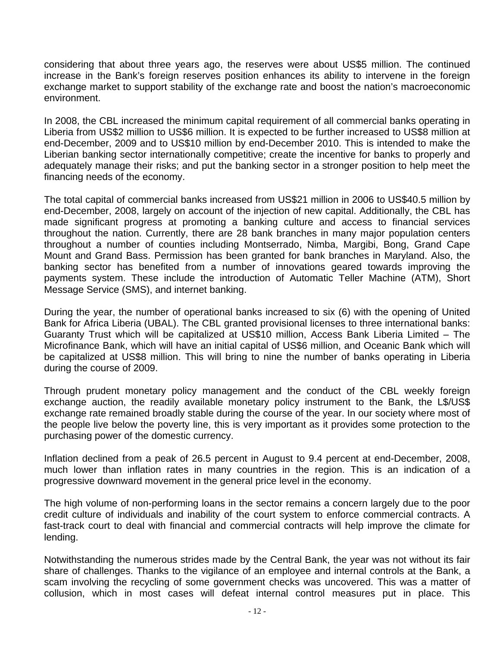considering that about three years ago, the reserves were about US\$5 million. The continued increase in the Bank's foreign reserves position enhances its ability to intervene in the foreign exchange market to support stability of the exchange rate and boost the nation's macroeconomic environment.

In 2008, the CBL increased the minimum capital requirement of all commercial banks operating in Liberia from US\$2 million to US\$6 million. It is expected to be further increased to US\$8 million at end-December, 2009 and to US\$10 million by end-December 2010. This is intended to make the Liberian banking sector internationally competitive; create the incentive for banks to properly and adequately manage their risks; and put the banking sector in a stronger position to help meet the financing needs of the economy.

The total capital of commercial banks increased from US\$21 million in 2006 to US\$40.5 million by end-December, 2008, largely on account of the injection of new capital. Additionally, the CBL has made significant progress at promoting a banking culture and access to financial services throughout the nation. Currently, there are 28 bank branches in many major population centers throughout a number of counties including Montserrado, Nimba, Margibi, Bong, Grand Cape Mount and Grand Bass. Permission has been granted for bank branches in Maryland. Also, the banking sector has benefited from a number of innovations geared towards improving the payments system. These include the introduction of Automatic Teller Machine (ATM), Short Message Service (SMS), and internet banking.

During the year, the number of operational banks increased to six (6) with the opening of United Bank for Africa Liberia (UBAL). The CBL granted provisional licenses to three international banks: Guaranty Trust which will be capitalized at US\$10 million, Access Bank Liberia Limited – The Microfinance Bank, which will have an initial capital of US\$6 million, and Oceanic Bank which will be capitalized at US\$8 million. This will bring to nine the number of banks operating in Liberia during the course of 2009.

Through prudent monetary policy management and the conduct of the CBL weekly foreign exchange auction, the readily available monetary policy instrument to the Bank, the L\$/US\$ exchange rate remained broadly stable during the course of the year. In our society where most of the people live below the poverty line, this is very important as it provides some protection to the purchasing power of the domestic currency.

Inflation declined from a peak of 26.5 percent in August to 9.4 percent at end-December, 2008, much lower than inflation rates in many countries in the region. This is an indication of a progressive downward movement in the general price level in the economy.

The high volume of non-performing loans in the sector remains a concern largely due to the poor credit culture of individuals and inability of the court system to enforce commercial contracts. A fast-track court to deal with financial and commercial contracts will help improve the climate for lending.

Notwithstanding the numerous strides made by the Central Bank, the year was not without its fair share of challenges. Thanks to the vigilance of an employee and internal controls at the Bank, a scam involving the recycling of some government checks was uncovered. This was a matter of collusion, which in most cases will defeat internal control measures put in place. This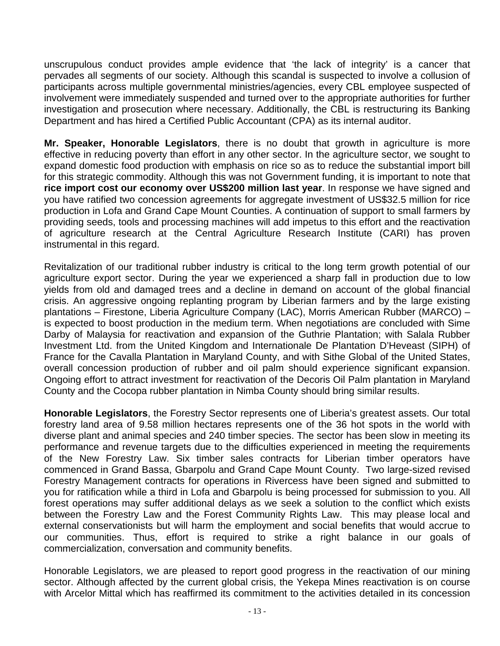unscrupulous conduct provides ample evidence that 'the lack of integrity' is a cancer that pervades all segments of our society. Although this scandal is suspected to involve a collusion of participants across multiple governmental ministries/agencies, every CBL employee suspected of involvement were immediately suspended and turned over to the appropriate authorities for further investigation and prosecution where necessary. Additionally, the CBL is restructuring its Banking Department and has hired a Certified Public Accountant (CPA) as its internal auditor.

**Mr. Speaker, Honorable Legislators**, there is no doubt that growth in agriculture is more effective in reducing poverty than effort in any other sector. In the agriculture sector, we sought to expand domestic food production with emphasis on rice so as to reduce the substantial import bill for this strategic commodity. Although this was not Government funding, it is important to note that **rice import cost our economy over US\$200 million last year**. In response we have signed and you have ratified two concession agreements for aggregate investment of US\$32.5 million for rice production in Lofa and Grand Cape Mount Counties. A continuation of support to small farmers by providing seeds, tools and processing machines will add impetus to this effort and the reactivation of agriculture research at the Central Agriculture Research Institute (CARI) has proven instrumental in this regard.

Revitalization of our traditional rubber industry is critical to the long term growth potential of our agriculture export sector. During the year we experienced a sharp fall in production due to low yields from old and damaged trees and a decline in demand on account of the global financial crisis. An aggressive ongoing replanting program by Liberian farmers and by the large existing plantations – Firestone, Liberia Agriculture Company (LAC), Morris American Rubber (MARCO) – is expected to boost production in the medium term. When negotiations are concluded with Sime Darby of Malaysia for reactivation and expansion of the Guthrie Plantation; with Salala Rubber Investment Ltd. from the United Kingdom and Internationale De Plantation D'Heveast (SIPH) of France for the Cavalla Plantation in Maryland County, and with Sithe Global of the United States, overall concession production of rubber and oil palm should experience significant expansion. Ongoing effort to attract investment for reactivation of the Decoris Oil Palm plantation in Maryland County and the Cocopa rubber plantation in Nimba County should bring similar results.

**Honorable Legislators**, the Forestry Sector represents one of Liberia's greatest assets. Our total forestry land area of 9.58 million hectares represents one of the 36 hot spots in the world with diverse plant and animal species and 240 timber species. The sector has been slow in meeting its performance and revenue targets due to the difficulties experienced in meeting the requirements of the New Forestry Law. Six timber sales contracts for Liberian timber operators have commenced in Grand Bassa, Gbarpolu and Grand Cape Mount County. Two large-sized revised Forestry Management contracts for operations in Rivercess have been signed and submitted to you for ratification while a third in Lofa and Gbarpolu is being processed for submission to you. All forest operations may suffer additional delays as we seek a solution to the conflict which exists between the Forestry Law and the Forest Community Rights Law. This may please local and external conservationists but will harm the employment and social benefits that would accrue to our communities. Thus, effort is required to strike a right balance in our goals of commercialization, conversation and community benefits.

Honorable Legislators, we are pleased to report good progress in the reactivation of our mining sector. Although affected by the current global crisis, the Yekepa Mines reactivation is on course with Arcelor Mittal which has reaffirmed its commitment to the activities detailed in its concession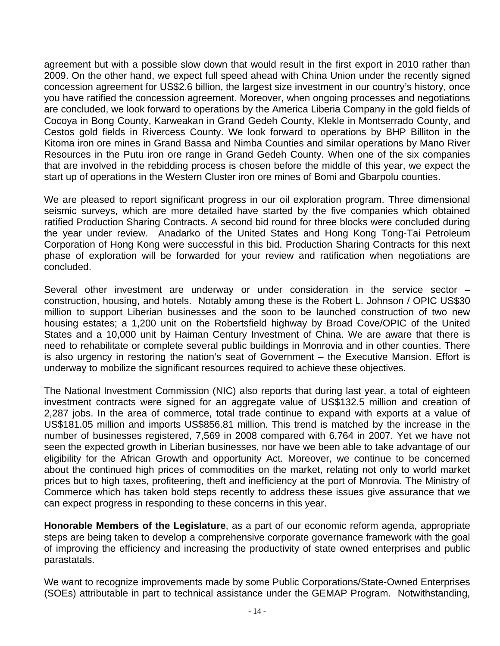agreement but with a possible slow down that would result in the first export in 2010 rather than 2009. On the other hand, we expect full speed ahead with China Union under the recently signed concession agreement for US\$2.6 billion, the largest size investment in our country's history, once you have ratified the concession agreement. Moreover, when ongoing processes and negotiations are concluded, we look forward to operations by the America Liberia Company in the gold fields of Cocoya in Bong County, Karweakan in Grand Gedeh County, Klekle in Montserrado County, and Cestos gold fields in Rivercess County. We look forward to operations by BHP Billiton in the Kitoma iron ore mines in Grand Bassa and Nimba Counties and similar operations by Mano River Resources in the Putu iron ore range in Grand Gedeh County. When one of the six companies that are involved in the rebidding process is chosen before the middle of this year, we expect the start up of operations in the Western Cluster iron ore mines of Bomi and Gbarpolu counties.

We are pleased to report significant progress in our oil exploration program. Three dimensional seismic surveys, which are more detailed have started by the five companies which obtained ratified Production Sharing Contracts. A second bid round for three blocks were concluded during the year under review. Anadarko of the United States and Hong Kong Tong-Tai Petroleum Corporation of Hong Kong were successful in this bid. Production Sharing Contracts for this next phase of exploration will be forwarded for your review and ratification when negotiations are concluded.

Several other investment are underway or under consideration in the service sector – construction, housing, and hotels. Notably among these is the Robert L. Johnson / OPIC US\$30 million to support Liberian businesses and the soon to be launched construction of two new housing estates; a 1,200 unit on the Robertsfield highway by Broad Cove/OPIC of the United States and a 10,000 unit by Haiman Century Investment of China. We are aware that there is need to rehabilitate or complete several public buildings in Monrovia and in other counties. There is also urgency in restoring the nation's seat of Government – the Executive Mansion. Effort is underway to mobilize the significant resources required to achieve these objectives.

The National Investment Commission (NIC) also reports that during last year, a total of eighteen investment contracts were signed for an aggregate value of US\$132.5 million and creation of 2,287 jobs. In the area of commerce, total trade continue to expand with exports at a value of US\$181.05 million and imports US\$856.81 million. This trend is matched by the increase in the number of businesses registered, 7,569 in 2008 compared with 6,764 in 2007. Yet we have not seen the expected growth in Liberian businesses, nor have we been able to take advantage of our eligibility for the African Growth and opportunity Act. Moreover, we continue to be concerned about the continued high prices of commodities on the market, relating not only to world market prices but to high taxes, profiteering, theft and inefficiency at the port of Monrovia. The Ministry of Commerce which has taken bold steps recently to address these issues give assurance that we can expect progress in responding to these concerns in this year.

**Honorable Members of the Legislature**, as a part of our economic reform agenda, appropriate steps are being taken to develop a comprehensive corporate governance framework with the goal of improving the efficiency and increasing the productivity of state owned enterprises and public parastatals.

We want to recognize improvements made by some Public Corporations/State-Owned Enterprises (SOEs) attributable in part to technical assistance under the GEMAP Program. Notwithstanding,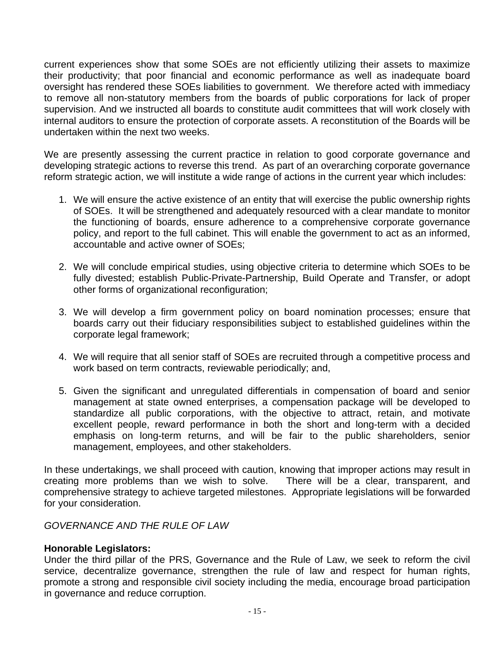current experiences show that some SOEs are not efficiently utilizing their assets to maximize their productivity; that poor financial and economic performance as well as inadequate board oversight has rendered these SOEs liabilities to government. We therefore acted with immediacy to remove all non-statutory members from the boards of public corporations for lack of proper supervision. And we instructed all boards to constitute audit committees that will work closely with internal auditors to ensure the protection of corporate assets. A reconstitution of the Boards will be undertaken within the next two weeks.

We are presently assessing the current practice in relation to good corporate governance and developing strategic actions to reverse this trend. As part of an overarching corporate governance reform strategic action, we will institute a wide range of actions in the current year which includes:

- 1. We will ensure the active existence of an entity that will exercise the public ownership rights of SOEs. It will be strengthened and adequately resourced with a clear mandate to monitor the functioning of boards, ensure adherence to a comprehensive corporate governance policy, and report to the full cabinet. This will enable the government to act as an informed, accountable and active owner of SOEs;
- 2. We will conclude empirical studies, using objective criteria to determine which SOEs to be fully divested; establish Public-Private-Partnership, Build Operate and Transfer, or adopt other forms of organizational reconfiguration;
- 3. We will develop a firm government policy on board nomination processes; ensure that boards carry out their fiduciary responsibilities subject to established guidelines within the corporate legal framework;
- 4. We will require that all senior staff of SOEs are recruited through a competitive process and work based on term contracts, reviewable periodically; and,
- 5. Given the significant and unregulated differentials in compensation of board and senior management at state owned enterprises, a compensation package will be developed to standardize all public corporations, with the objective to attract, retain, and motivate excellent people, reward performance in both the short and long-term with a decided emphasis on long-term returns, and will be fair to the public shareholders, senior management, employees, and other stakeholders.

In these undertakings, we shall proceed with caution, knowing that improper actions may result in creating more problems than we wish to solve. There will be a clear, transparent, and comprehensive strategy to achieve targeted milestones. Appropriate legislations will be forwarded for your consideration.

# *GOVERNANCE AND THE RULE OF LAW*

#### **Honorable Legislators:**

Under the third pillar of the PRS, Governance and the Rule of Law, we seek to reform the civil service, decentralize governance, strengthen the rule of law and respect for human rights, promote a strong and responsible civil society including the media, encourage broad participation in governance and reduce corruption.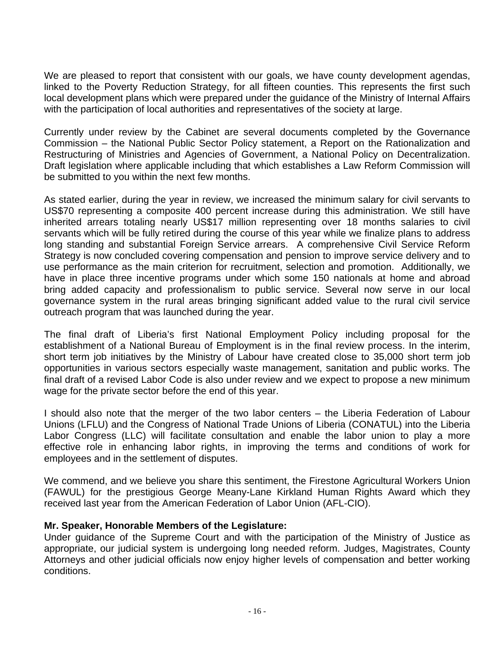We are pleased to report that consistent with our goals, we have county development agendas, linked to the Poverty Reduction Strategy, for all fifteen counties. This represents the first such local development plans which were prepared under the guidance of the Ministry of Internal Affairs with the participation of local authorities and representatives of the society at large.

Currently under review by the Cabinet are several documents completed by the Governance Commission – the National Public Sector Policy statement, a Report on the Rationalization and Restructuring of Ministries and Agencies of Government, a National Policy on Decentralization. Draft legislation where applicable including that which establishes a Law Reform Commission will be submitted to you within the next few months.

As stated earlier, during the year in review, we increased the minimum salary for civil servants to US\$70 representing a composite 400 percent increase during this administration. We still have inherited arrears totaling nearly US\$17 million representing over 18 months salaries to civil servants which will be fully retired during the course of this year while we finalize plans to address long standing and substantial Foreign Service arrears. A comprehensive Civil Service Reform Strategy is now concluded covering compensation and pension to improve service delivery and to use performance as the main criterion for recruitment, selection and promotion. Additionally, we have in place three incentive programs under which some 150 nationals at home and abroad bring added capacity and professionalism to public service. Several now serve in our local governance system in the rural areas bringing significant added value to the rural civil service outreach program that was launched during the year.

The final draft of Liberia's first National Employment Policy including proposal for the establishment of a National Bureau of Employment is in the final review process. In the interim, short term job initiatives by the Ministry of Labour have created close to 35,000 short term job opportunities in various sectors especially waste management, sanitation and public works. The final draft of a revised Labor Code is also under review and we expect to propose a new minimum wage for the private sector before the end of this year.

I should also note that the merger of the two labor centers – the Liberia Federation of Labour Unions (LFLU) and the Congress of National Trade Unions of Liberia (CONATUL) into the Liberia Labor Congress (LLC) will facilitate consultation and enable the labor union to play a more effective role in enhancing labor rights, in improving the terms and conditions of work for employees and in the settlement of disputes.

We commend, and we believe you share this sentiment, the Firestone Agricultural Workers Union (FAWUL) for the prestigious George Meany-Lane Kirkland Human Rights Award which they received last year from the American Federation of Labor Union (AFL-CIO).

#### **Mr. Speaker, Honorable Members of the Legislature:**

Under guidance of the Supreme Court and with the participation of the Ministry of Justice as appropriate, our judicial system is undergoing long needed reform. Judges, Magistrates, County Attorneys and other judicial officials now enjoy higher levels of compensation and better working conditions.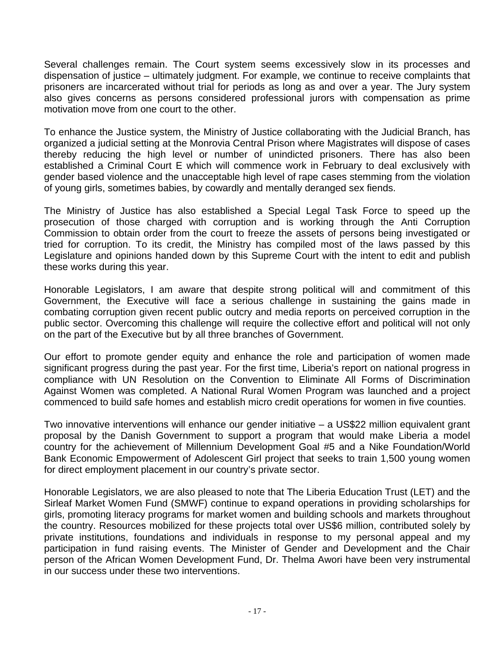Several challenges remain. The Court system seems excessively slow in its processes and dispensation of justice – ultimately judgment. For example, we continue to receive complaints that prisoners are incarcerated without trial for periods as long as and over a year. The Jury system also gives concerns as persons considered professional jurors with compensation as prime motivation move from one court to the other.

To enhance the Justice system, the Ministry of Justice collaborating with the Judicial Branch, has organized a judicial setting at the Monrovia Central Prison where Magistrates will dispose of cases thereby reducing the high level or number of unindicted prisoners. There has also been established a Criminal Court E which will commence work in February to deal exclusively with gender based violence and the unacceptable high level of rape cases stemming from the violation of young girls, sometimes babies, by cowardly and mentally deranged sex fiends.

The Ministry of Justice has also established a Special Legal Task Force to speed up the prosecution of those charged with corruption and is working through the Anti Corruption Commission to obtain order from the court to freeze the assets of persons being investigated or tried for corruption. To its credit, the Ministry has compiled most of the laws passed by this Legislature and opinions handed down by this Supreme Court with the intent to edit and publish these works during this year.

Honorable Legislators, I am aware that despite strong political will and commitment of this Government, the Executive will face a serious challenge in sustaining the gains made in combating corruption given recent public outcry and media reports on perceived corruption in the public sector. Overcoming this challenge will require the collective effort and political will not only on the part of the Executive but by all three branches of Government.

Our effort to promote gender equity and enhance the role and participation of women made significant progress during the past year. For the first time, Liberia's report on national progress in compliance with UN Resolution on the Convention to Eliminate All Forms of Discrimination Against Women was completed. A National Rural Women Program was launched and a project commenced to build safe homes and establish micro credit operations for women in five counties.

Two innovative interventions will enhance our gender initiative – a US\$22 million equivalent grant proposal by the Danish Government to support a program that would make Liberia a model country for the achievement of Millennium Development Goal #5 and a Nike Foundation/World Bank Economic Empowerment of Adolescent Girl project that seeks to train 1,500 young women for direct employment placement in our country's private sector.

Honorable Legislators, we are also pleased to note that The Liberia Education Trust (LET) and the Sirleaf Market Women Fund (SMWF) continue to expand operations in providing scholarships for girls, promoting literacy programs for market women and building schools and markets throughout the country. Resources mobilized for these projects total over US\$6 million, contributed solely by private institutions, foundations and individuals in response to my personal appeal and my participation in fund raising events. The Minister of Gender and Development and the Chair person of the African Women Development Fund, Dr. Thelma Awori have been very instrumental in our success under these two interventions.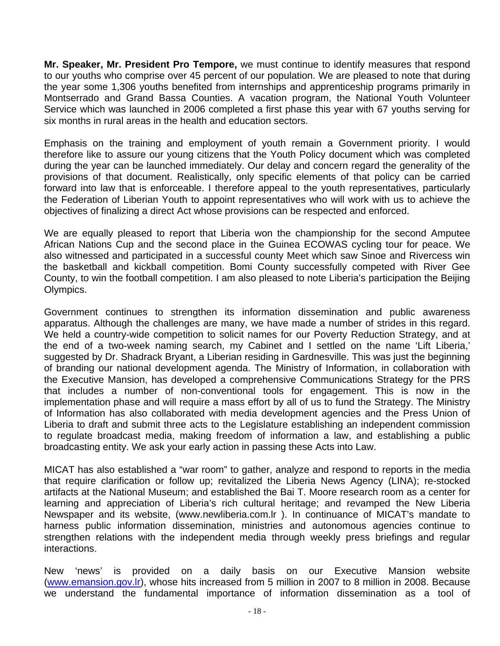**Mr. Speaker, Mr. President Pro Tempore,** we must continue to identify measures that respond to our youths who comprise over 45 percent of our population. We are pleased to note that during the year some 1,306 youths benefited from internships and apprenticeship programs primarily in Montserrado and Grand Bassa Counties. A vacation program, the National Youth Volunteer Service which was launched in 2006 completed a first phase this year with 67 youths serving for six months in rural areas in the health and education sectors.

Emphasis on the training and employment of youth remain a Government priority. I would therefore like to assure our young citizens that the Youth Policy document which was completed during the year can be launched immediately. Our delay and concern regard the generality of the provisions of that document. Realistically, only specific elements of that policy can be carried forward into law that is enforceable. I therefore appeal to the youth representatives, particularly the Federation of Liberian Youth to appoint representatives who will work with us to achieve the objectives of finalizing a direct Act whose provisions can be respected and enforced.

We are equally pleased to report that Liberia won the championship for the second Amputee African Nations Cup and the second place in the Guinea ECOWAS cycling tour for peace. We also witnessed and participated in a successful county Meet which saw Sinoe and Rivercess win the basketball and kickball competition. Bomi County successfully competed with River Gee County, to win the football competition. I am also pleased to note Liberia's participation the Beijing Olympics.

Government continues to strengthen its information dissemination and public awareness apparatus. Although the challenges are many, we have made a number of strides in this regard. We held a country-wide competition to solicit names for our Poverty Reduction Strategy, and at the end of a two-week naming search, my Cabinet and I settled on the name 'Lift Liberia,' suggested by Dr. Shadrack Bryant, a Liberian residing in Gardnesville. This was just the beginning of branding our national development agenda. The Ministry of Information, in collaboration with the Executive Mansion, has developed a comprehensive Communications Strategy for the PRS that includes a number of non-conventional tools for engagement. This is now in the implementation phase and will require a mass effort by all of us to fund the Strategy. The Ministry of Information has also collaborated with media development agencies and the Press Union of Liberia to draft and submit three acts to the Legislature establishing an independent commission to regulate broadcast media, making freedom of information a law, and establishing a public broadcasting entity. We ask your early action in passing these Acts into Law.

MICAT has also established a "war room" to gather, analyze and respond to reports in the media that require clarification or follow up; revitalized the Liberia News Agency (LINA); re-stocked artifacts at the National Museum; and established the Bai T. Moore research room as a center for learning and appreciation of Liberia's rich cultural heritage; and revamped the New Liberia Newspaper and its website, (www.newliberia.com.lr ). In continuance of MICAT's mandate to harness public information dissemination, ministries and autonomous agencies continue to strengthen relations with the independent media through weekly press briefings and regular interactions.

New 'news' is provided on a daily basis on our Executive Mansion website ([www.emansion.gov.lr](http://www.emansion.gov.lr/)), whose hits increased from 5 million in 2007 to 8 million in 2008. Because we understand the fundamental importance of information dissemination as a tool of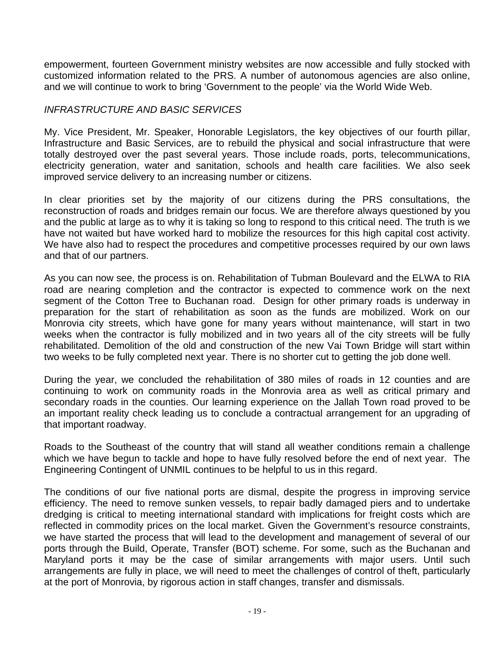empowerment, fourteen Government ministry websites are now accessible and fully stocked with customized information related to the PRS. A number of autonomous agencies are also online, and we will continue to work to bring 'Government to the people' via the World Wide Web.

# *INFRASTRUCTURE AND BASIC SERVICES*

My. Vice President, Mr. Speaker, Honorable Legislators, the key objectives of our fourth pillar, Infrastructure and Basic Services, are to rebuild the physical and social infrastructure that were totally destroyed over the past several years. Those include roads, ports, telecommunications, electricity generation, water and sanitation, schools and health care facilities. We also seek improved service delivery to an increasing number or citizens.

In clear priorities set by the majority of our citizens during the PRS consultations, the reconstruction of roads and bridges remain our focus. We are therefore always questioned by you and the public at large as to why it is taking so long to respond to this critical need. The truth is we have not waited but have worked hard to mobilize the resources for this high capital cost activity. We have also had to respect the procedures and competitive processes required by our own laws and that of our partners.

As you can now see, the process is on. Rehabilitation of Tubman Boulevard and the ELWA to RIA road are nearing completion and the contractor is expected to commence work on the next segment of the Cotton Tree to Buchanan road. Design for other primary roads is underway in preparation for the start of rehabilitation as soon as the funds are mobilized. Work on our Monrovia city streets, which have gone for many years without maintenance, will start in two weeks when the contractor is fully mobilized and in two years all of the city streets will be fully rehabilitated. Demolition of the old and construction of the new Vai Town Bridge will start within two weeks to be fully completed next year. There is no shorter cut to getting the job done well.

During the year, we concluded the rehabilitation of 380 miles of roads in 12 counties and are continuing to work on community roads in the Monrovia area as well as critical primary and secondary roads in the counties. Our learning experience on the Jallah Town road proved to be an important reality check leading us to conclude a contractual arrangement for an upgrading of that important roadway.

Roads to the Southeast of the country that will stand all weather conditions remain a challenge which we have begun to tackle and hope to have fully resolved before the end of next year. The Engineering Contingent of UNMIL continues to be helpful to us in this regard.

The conditions of our five national ports are dismal, despite the progress in improving service efficiency. The need to remove sunken vessels, to repair badly damaged piers and to undertake dredging is critical to meeting international standard with implications for freight costs which are reflected in commodity prices on the local market. Given the Government's resource constraints, we have started the process that will lead to the development and management of several of our ports through the Build, Operate, Transfer (BOT) scheme. For some, such as the Buchanan and Maryland ports it may be the case of similar arrangements with major users. Until such arrangements are fully in place, we will need to meet the challenges of control of theft, particularly at the port of Monrovia, by rigorous action in staff changes, transfer and dismissals.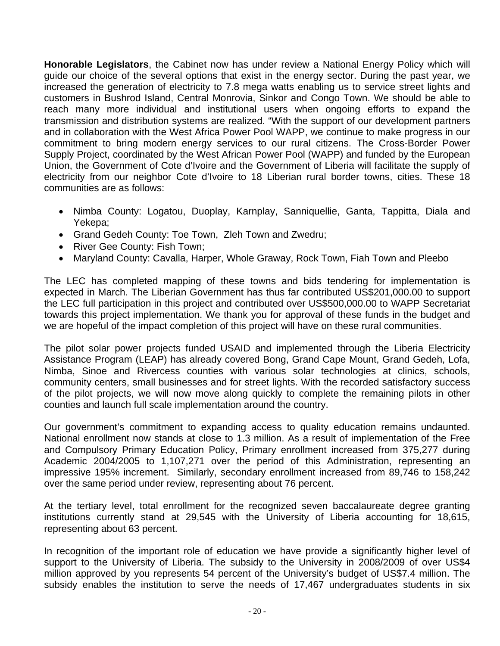**Honorable Legislators**, the Cabinet now has under review a National Energy Policy which will guide our choice of the several options that exist in the energy sector. During the past year, we increased the generation of electricity to 7.8 mega watts enabling us to service street lights and customers in Bushrod Island, Central Monrovia, Sinkor and Congo Town. We should be able to reach many more individual and institutional users when ongoing efforts to expand the transmission and distribution systems are realized. "With the support of our development partners and in collaboration with the West Africa Power Pool WAPP, we continue to make progress in our commitment to bring modern energy services to our rural citizens. The Cross-Border Power Supply Project, coordinated by the West African Power Pool (WAPP) and funded by the European Union, the Government of Cote d'Ivoire and the Government of Liberia will facilitate the supply of electricity from our neighbor Cote d'Ivoire to 18 Liberian rural border towns, cities. These 18 communities are as follows:

- Nimba County: Logatou, Duoplay, Karnplay, Sanniquellie, Ganta, Tappitta, Diala and Yekepa;
- Grand Gedeh County: Toe Town, Zleh Town and Zwedru;
- River Gee County: Fish Town;
- Maryland County: Cavalla, Harper, Whole Graway, Rock Town, Fiah Town and Pleebo

The LEC has completed mapping of these towns and bids tendering for implementation is expected in March. The Liberian Government has thus far contributed US\$201,000.00 to support the LEC full participation in this project and contributed over US\$500,000.00 to WAPP Secretariat towards this project implementation. We thank you for approval of these funds in the budget and we are hopeful of the impact completion of this project will have on these rural communities.

The pilot solar power projects funded USAID and implemented through the Liberia Electricity Assistance Program (LEAP) has already covered Bong, Grand Cape Mount, Grand Gedeh, Lofa, Nimba, Sinoe and Rivercess counties with various solar technologies at clinics, schools, community centers, small businesses and for street lights. With the recorded satisfactory success of the pilot projects, we will now move along quickly to complete the remaining pilots in other counties and launch full scale implementation around the country.

Our government's commitment to expanding access to quality education remains undaunted. National enrollment now stands at close to 1.3 million. As a result of implementation of the Free and Compulsory Primary Education Policy, Primary enrollment increased from 375,277 during Academic 2004/2005 to 1,107,271 over the period of this Administration, representing an impressive 195% increment. Similarly, secondary enrollment increased from 89,746 to 158,242 over the same period under review, representing about 76 percent.

At the tertiary level, total enrollment for the recognized seven baccalaureate degree granting institutions currently stand at 29,545 with the University of Liberia accounting for 18,615, representing about 63 percent.

In recognition of the important role of education we have provide a significantly higher level of support to the University of Liberia. The subsidy to the University in 2008/2009 of over US\$4 million approved by you represents 54 percent of the University's budget of US\$7.4 million. The subsidy enables the institution to serve the needs of 17,467 undergraduates students in six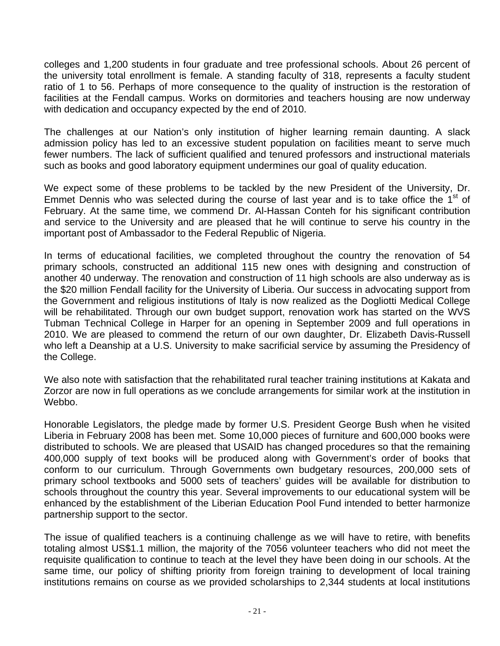colleges and 1,200 students in four graduate and tree professional schools. About 26 percent of the university total enrollment is female. A standing faculty of 318, represents a faculty student ratio of 1 to 56. Perhaps of more consequence to the quality of instruction is the restoration of facilities at the Fendall campus. Works on dormitories and teachers housing are now underway with dedication and occupancy expected by the end of 2010.

The challenges at our Nation's only institution of higher learning remain daunting. A slack admission policy has led to an excessive student population on facilities meant to serve much fewer numbers. The lack of sufficient qualified and tenured professors and instructional materials such as books and good laboratory equipment undermines our goal of quality education.

We expect some of these problems to be tackled by the new President of the University, Dr. Emmet Dennis who was selected during the course of last year and is to take office the  $1<sup>st</sup>$  of February. At the same time, we commend Dr. Al-Hassan Conteh for his significant contribution and service to the University and are pleased that he will continue to serve his country in the important post of Ambassador to the Federal Republic of Nigeria.

In terms of educational facilities, we completed throughout the country the renovation of 54 primary schools, constructed an additional 115 new ones with designing and construction of another 40 underway. The renovation and construction of 11 high schools are also underway as is the \$20 million Fendall facility for the University of Liberia. Our success in advocating support from the Government and religious institutions of Italy is now realized as the Dogliotti Medical College will be rehabilitated. Through our own budget support, renovation work has started on the WVS Tubman Technical College in Harper for an opening in September 2009 and full operations in 2010. We are pleased to commend the return of our own daughter, Dr. Elizabeth Davis-Russell who left a Deanship at a U.S. University to make sacrificial service by assuming the Presidency of the College.

We also note with satisfaction that the rehabilitated rural teacher training institutions at Kakata and Zorzor are now in full operations as we conclude arrangements for similar work at the institution in Webbo.

Honorable Legislators, the pledge made by former U.S. President George Bush when he visited Liberia in February 2008 has been met. Some 10,000 pieces of furniture and 600,000 books were distributed to schools. We are pleased that USAID has changed procedures so that the remaining 400,000 supply of text books will be produced along with Government's order of books that conform to our curriculum. Through Governments own budgetary resources, 200,000 sets of primary school textbooks and 5000 sets of teachers' guides will be available for distribution to schools throughout the country this year. Several improvements to our educational system will be enhanced by the establishment of the Liberian Education Pool Fund intended to better harmonize partnership support to the sector.

The issue of qualified teachers is a continuing challenge as we will have to retire, with benefits totaling almost US\$1.1 million, the majority of the 7056 volunteer teachers who did not meet the requisite qualification to continue to teach at the level they have been doing in our schools. At the same time, our policy of shifting priority from foreign training to development of local training institutions remains on course as we provided scholarships to 2,344 students at local institutions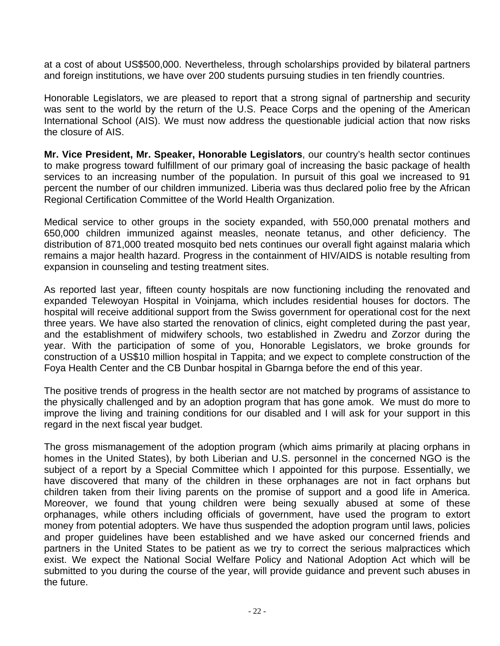at a cost of about US\$500,000. Nevertheless, through scholarships provided by bilateral partners and foreign institutions, we have over 200 students pursuing studies in ten friendly countries.

Honorable Legislators, we are pleased to report that a strong signal of partnership and security was sent to the world by the return of the U.S. Peace Corps and the opening of the American International School (AIS). We must now address the questionable judicial action that now risks the closure of AIS.

**Mr. Vice President, Mr. Speaker, Honorable Legislators**, our country's health sector continues to make progress toward fulfillment of our primary goal of increasing the basic package of health services to an increasing number of the population. In pursuit of this goal we increased to 91 percent the number of our children immunized. Liberia was thus declared polio free by the African Regional Certification Committee of the World Health Organization.

Medical service to other groups in the society expanded, with 550,000 prenatal mothers and 650,000 children immunized against measles, neonate tetanus, and other deficiency. The distribution of 871,000 treated mosquito bed nets continues our overall fight against malaria which remains a major health hazard. Progress in the containment of HIV/AIDS is notable resulting from expansion in counseling and testing treatment sites.

As reported last year, fifteen county hospitals are now functioning including the renovated and expanded Telewoyan Hospital in Voinjama, which includes residential houses for doctors. The hospital will receive additional support from the Swiss government for operational cost for the next three years. We have also started the renovation of clinics, eight completed during the past year, and the establishment of midwifery schools, two established in Zwedru and Zorzor during the year. With the participation of some of you, Honorable Legislators, we broke grounds for construction of a US\$10 million hospital in Tappita; and we expect to complete construction of the Foya Health Center and the CB Dunbar hospital in Gbarnga before the end of this year.

The positive trends of progress in the health sector are not matched by programs of assistance to the physically challenged and by an adoption program that has gone amok. We must do more to improve the living and training conditions for our disabled and I will ask for your support in this regard in the next fiscal year budget.

The gross mismanagement of the adoption program (which aims primarily at placing orphans in homes in the United States), by both Liberian and U.S. personnel in the concerned NGO is the subject of a report by a Special Committee which I appointed for this purpose. Essentially, we have discovered that many of the children in these orphanages are not in fact orphans but children taken from their living parents on the promise of support and a good life in America. Moreover, we found that young children were being sexually abused at some of these orphanages, while others including officials of government, have used the program to extort money from potential adopters. We have thus suspended the adoption program until laws, policies and proper guidelines have been established and we have asked our concerned friends and partners in the United States to be patient as we try to correct the serious malpractices which exist. We expect the National Social Welfare Policy and National Adoption Act which will be submitted to you during the course of the year, will provide guidance and prevent such abuses in the future.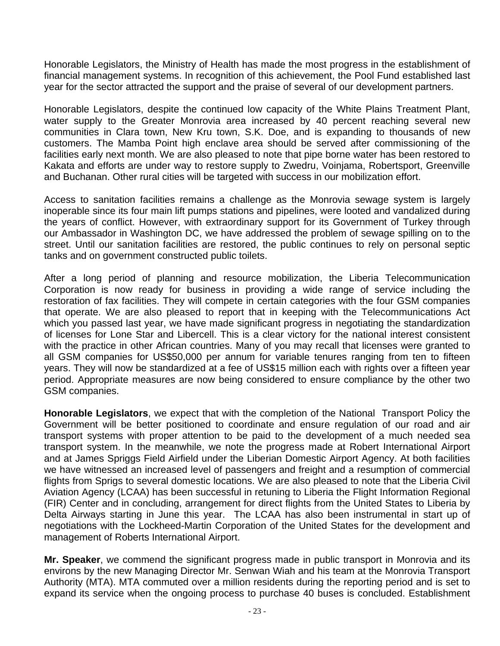Honorable Legislators, the Ministry of Health has made the most progress in the establishment of financial management systems. In recognition of this achievement, the Pool Fund established last year for the sector attracted the support and the praise of several of our development partners.

Honorable Legislators, despite the continued low capacity of the White Plains Treatment Plant, water supply to the Greater Monrovia area increased by 40 percent reaching several new communities in Clara town, New Kru town, S.K. Doe, and is expanding to thousands of new customers. The Mamba Point high enclave area should be served after commissioning of the facilities early next month. We are also pleased to note that pipe borne water has been restored to Kakata and efforts are under way to restore supply to Zwedru, Voinjama, Robertsport, Greenville and Buchanan. Other rural cities will be targeted with success in our mobilization effort.

Access to sanitation facilities remains a challenge as the Monrovia sewage system is largely inoperable since its four main lift pumps stations and pipelines, were looted and vandalized during the years of conflict. However, with extraordinary support for its Government of Turkey through our Ambassador in Washington DC, we have addressed the problem of sewage spilling on to the street. Until our sanitation facilities are restored, the public continues to rely on personal septic tanks and on government constructed public toilets.

After a long period of planning and resource mobilization, the Liberia Telecommunication Corporation is now ready for business in providing a wide range of service including the restoration of fax facilities. They will compete in certain categories with the four GSM companies that operate. We are also pleased to report that in keeping with the Telecommunications Act which you passed last year, we have made significant progress in negotiating the standardization of licenses for Lone Star and Libercell. This is a clear victory for the national interest consistent with the practice in other African countries. Many of you may recall that licenses were granted to all GSM companies for US\$50,000 per annum for variable tenures ranging from ten to fifteen years. They will now be standardized at a fee of US\$15 million each with rights over a fifteen year period. Appropriate measures are now being considered to ensure compliance by the other two GSM companies.

**Honorable Legislators**, we expect that with the completion of the National Transport Policy the Government will be better positioned to coordinate and ensure regulation of our road and air transport systems with proper attention to be paid to the development of a much needed sea transport system. In the meanwhile, we note the progress made at Robert International Airport and at James Spriggs Field Airfield under the Liberian Domestic Airport Agency. At both facilities we have witnessed an increased level of passengers and freight and a resumption of commercial flights from Sprigs to several domestic locations. We are also pleased to note that the Liberia Civil Aviation Agency (LCAA) has been successful in retuning to Liberia the Flight Information Regional (FIR) Center and in concluding, arrangement for direct flights from the United States to Liberia by Delta Airways starting in June this year. The LCAA has also been instrumental in start up of negotiations with the Lockheed-Martin Corporation of the United States for the development and management of Roberts International Airport.

**Mr. Speaker**, we commend the significant progress made in public transport in Monrovia and its environs by the new Managing Director Mr. Senwan Wiah and his team at the Monrovia Transport Authority (MTA). MTA commuted over a million residents during the reporting period and is set to expand its service when the ongoing process to purchase 40 buses is concluded. Establishment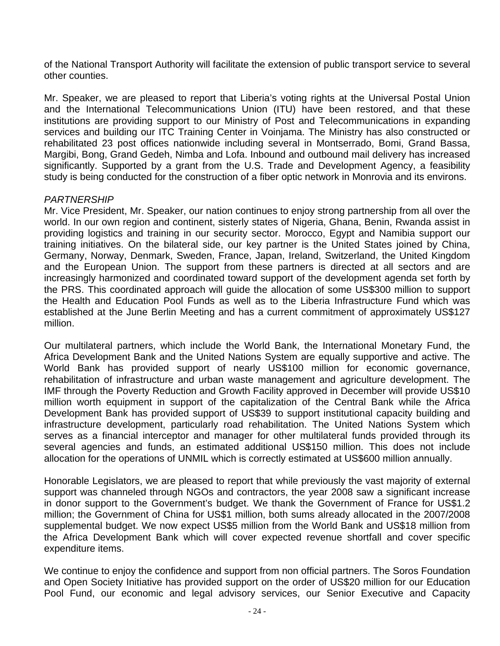of the National Transport Authority will facilitate the extension of public transport service to several other counties.

Mr. Speaker, we are pleased to report that Liberia's voting rights at the Universal Postal Union and the International Telecommunications Union (ITU) have been restored, and that these institutions are providing support to our Ministry of Post and Telecommunications in expanding services and building our ITC Training Center in Voinjama. The Ministry has also constructed or rehabilitated 23 post offices nationwide including several in Montserrado, Bomi, Grand Bassa, Margibi, Bong, Grand Gedeh, Nimba and Lofa. Inbound and outbound mail delivery has increased significantly. Supported by a grant from the U.S. Trade and Development Agency, a feasibility study is being conducted for the construction of a fiber optic network in Monrovia and its environs.

## *PARTNERSHIP*

Mr. Vice President, Mr. Speaker, our nation continues to enjoy strong partnership from all over the world. In our own region and continent, sisterly states of Nigeria, Ghana, Benin, Rwanda assist in providing logistics and training in our security sector. Morocco, Egypt and Namibia support our training initiatives. On the bilateral side, our key partner is the United States joined by China, Germany, Norway, Denmark, Sweden, France, Japan, Ireland, Switzerland, the United Kingdom and the European Union. The support from these partners is directed at all sectors and are increasingly harmonized and coordinated toward support of the development agenda set forth by the PRS. This coordinated approach will guide the allocation of some US\$300 million to support the Health and Education Pool Funds as well as to the Liberia Infrastructure Fund which was established at the June Berlin Meeting and has a current commitment of approximately US\$127 million.

Our multilateral partners, which include the World Bank, the International Monetary Fund, the Africa Development Bank and the United Nations System are equally supportive and active. The World Bank has provided support of nearly US\$100 million for economic governance, rehabilitation of infrastructure and urban waste management and agriculture development. The IMF through the Poverty Reduction and Growth Facility approved in December will provide US\$10 million worth equipment in support of the capitalization of the Central Bank while the Africa Development Bank has provided support of US\$39 to support institutional capacity building and infrastructure development, particularly road rehabilitation. The United Nations System which serves as a financial interceptor and manager for other multilateral funds provided through its several agencies and funds, an estimated additional US\$150 million. This does not include allocation for the operations of UNMIL which is correctly estimated at US\$600 million annually.

Honorable Legislators, we are pleased to report that while previously the vast majority of external support was channeled through NGOs and contractors, the year 2008 saw a significant increase in donor support to the Government's budget. We thank the Government of France for US\$1.2 million; the Government of China for US\$1 million, both sums already allocated in the 2007/2008 supplemental budget. We now expect US\$5 million from the World Bank and US\$18 million from the Africa Development Bank which will cover expected revenue shortfall and cover specific expenditure items.

We continue to enjoy the confidence and support from non official partners. The Soros Foundation and Open Society Initiative has provided support on the order of US\$20 million for our Education Pool Fund, our economic and legal advisory services, our Senior Executive and Capacity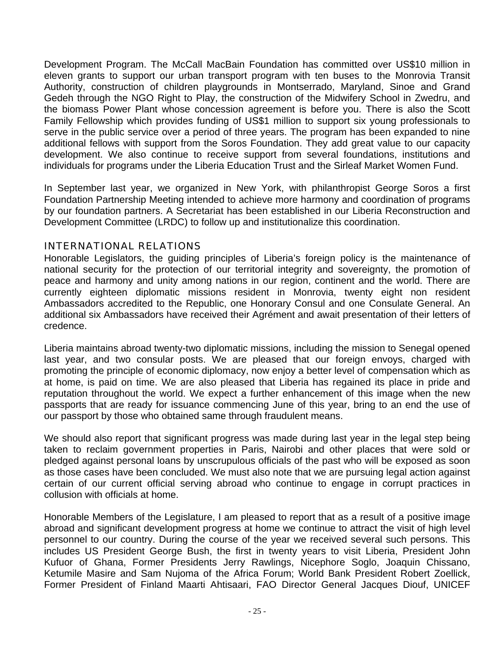Development Program. The McCall MacBain Foundation has committed over US\$10 million in eleven grants to support our urban transport program with ten buses to the Monrovia Transit Authority, construction of children playgrounds in Montserrado, Maryland, Sinoe and Grand Gedeh through the NGO Right to Play, the construction of the Midwifery School in Zwedru, and the biomass Power Plant whose concession agreement is before you. There is also the Scott Family Fellowship which provides funding of US\$1 million to support six young professionals to serve in the public service over a period of three years. The program has been expanded to nine additional fellows with support from the Soros Foundation. They add great value to our capacity development. We also continue to receive support from several foundations, institutions and individuals for programs under the Liberia Education Trust and the Sirleaf Market Women Fund.

In September last year, we organized in New York, with philanthropist George Soros a first Foundation Partnership Meeting intended to achieve more harmony and coordination of programs by our foundation partners. A Secretariat has been established in our Liberia Reconstruction and Development Committee (LRDC) to follow up and institutionalize this coordination.

## INTERNATIONAL RELATIONS

Honorable Legislators, the guiding principles of Liberia's foreign policy is the maintenance of national security for the protection of our territorial integrity and sovereignty, the promotion of peace and harmony and unity among nations in our region, continent and the world. There are currently eighteen diplomatic missions resident in Monrovia, twenty eight non resident Ambassadors accredited to the Republic, one Honorary Consul and one Consulate General. An additional six Ambassadors have received their Agrément and await presentation of their letters of credence.

Liberia maintains abroad twenty-two diplomatic missions, including the mission to Senegal opened last year, and two consular posts. We are pleased that our foreign envoys, charged with promoting the principle of economic diplomacy, now enjoy a better level of compensation which as at home, is paid on time. We are also pleased that Liberia has regained its place in pride and reputation throughout the world. We expect a further enhancement of this image when the new passports that are ready for issuance commencing June of this year, bring to an end the use of our passport by those who obtained same through fraudulent means.

We should also report that significant progress was made during last year in the legal step being taken to reclaim government properties in Paris, Nairobi and other places that were sold or pledged against personal loans by unscrupulous officials of the past who will be exposed as soon as those cases have been concluded. We must also note that we are pursuing legal action against certain of our current official serving abroad who continue to engage in corrupt practices in collusion with officials at home.

Honorable Members of the Legislature, I am pleased to report that as a result of a positive image abroad and significant development progress at home we continue to attract the visit of high level personnel to our country. During the course of the year we received several such persons. This includes US President George Bush, the first in twenty years to visit Liberia, President John Kufuor of Ghana, Former Presidents Jerry Rawlings, Nicephore Soglo, Joaquin Chissano, Ketumile Masire and Sam Nujoma of the Africa Forum; World Bank President Robert Zoellick, Former President of Finland Maarti Ahtisaari, FAO Director General Jacques Diouf, UNICEF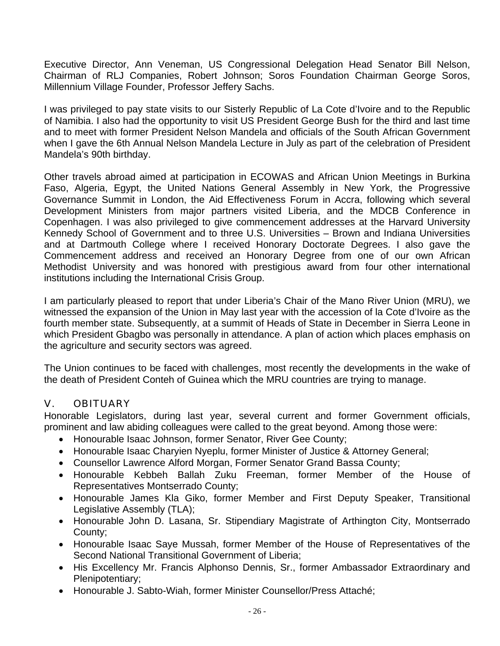Executive Director, Ann Veneman, US Congressional Delegation Head Senator Bill Nelson, Chairman of RLJ Companies, Robert Johnson; Soros Foundation Chairman George Soros, Millennium Village Founder, Professor Jeffery Sachs.

I was privileged to pay state visits to our Sisterly Republic of La Cote d'Ivoire and to the Republic of Namibia. I also had the opportunity to visit US President George Bush for the third and last time and to meet with former President Nelson Mandela and officials of the South African Government when I gave the 6th Annual Nelson Mandela Lecture in July as part of the celebration of President Mandela's 90th birthday.

Other travels abroad aimed at participation in ECOWAS and African Union Meetings in Burkina Faso, Algeria, Egypt, the United Nations General Assembly in New York, the Progressive Governance Summit in London, the Aid Effectiveness Forum in Accra, following which several Development Ministers from major partners visited Liberia, and the MDCB Conference in Copenhagen. I was also privileged to give commencement addresses at the Harvard University Kennedy School of Government and to three U.S. Universities – Brown and Indiana Universities and at Dartmouth College where I received Honorary Doctorate Degrees. I also gave the Commencement address and received an Honorary Degree from one of our own African Methodist University and was honored with prestigious award from four other international institutions including the International Crisis Group.

I am particularly pleased to report that under Liberia's Chair of the Mano River Union (MRU), we witnessed the expansion of the Union in May last year with the accession of la Cote d'Ivoire as the fourth member state. Subsequently, at a summit of Heads of State in December in Sierra Leone in which President Gbagbo was personally in attendance. A plan of action which places emphasis on the agriculture and security sectors was agreed.

The Union continues to be faced with challenges, most recently the developments in the wake of the death of President Conteh of Guinea which the MRU countries are trying to manage.

# V. OBITUARY

Honorable Legislators, during last year, several current and former Government officials, prominent and law abiding colleagues were called to the great beyond. Among those were:

- Honourable Isaac Johnson, former Senator, River Gee County;
- Honourable Isaac Charyien Nyeplu, former Minister of Justice & Attorney General;
- Counsellor Lawrence Alford Morgan, Former Senator Grand Bassa County;
- Honourable Kebbeh Ballah Zuku Freeman, former Member of the House of Representatives Montserrado County;
- Honourable James Kla Giko, former Member and First Deputy Speaker, Transitional Legislative Assembly (TLA);
- Honourable John D. Lasana, Sr. Stipendiary Magistrate of Arthington City, Montserrado County;
- Honourable Isaac Saye Mussah, former Member of the House of Representatives of the Second National Transitional Government of Liberia;
- His Excellency Mr. Francis Alphonso Dennis, Sr., former Ambassador Extraordinary and Plenipotentiary;
- Honourable J. Sabto-Wiah, former Minister Counsellor/Press Attaché;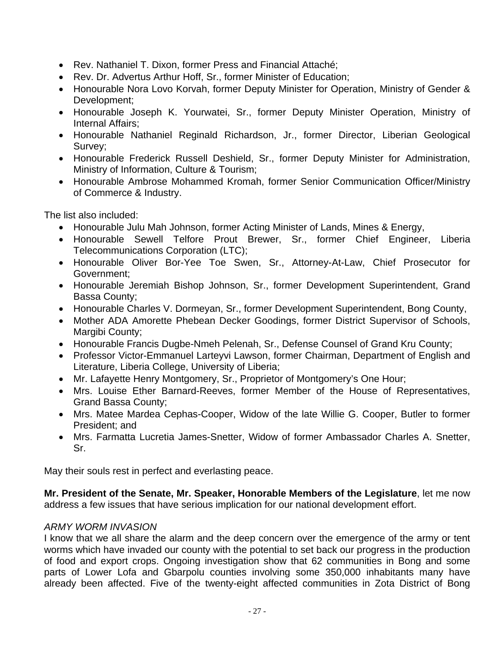- Rev. Nathaniel T. Dixon, former Press and Financial Attaché;
- Rev. Dr. Advertus Arthur Hoff, Sr., former Minister of Education;
- Honourable Nora Lovo Korvah, former Deputy Minister for Operation, Ministry of Gender & Development;
- Honourable Joseph K. Yourwatei, Sr., former Deputy Minister Operation, Ministry of Internal Affairs;
- Honourable Nathaniel Reginald Richardson, Jr., former Director, Liberian Geological Survey;
- Honourable Frederick Russell Deshield, Sr., former Deputy Minister for Administration, Ministry of Information, Culture & Tourism;
- Honourable Ambrose Mohammed Kromah, former Senior Communication Officer/Ministry of Commerce & Industry.

The list also included:

- Honourable Julu Mah Johnson, former Acting Minister of Lands, Mines & Energy,
- Honourable Sewell Telfore Prout Brewer, Sr., former Chief Engineer, Liberia Telecommunications Corporation (LTC);
- Honourable Oliver Bor-Yee Toe Swen, Sr., Attorney-At-Law, Chief Prosecutor for Government;
- Honourable Jeremiah Bishop Johnson, Sr., former Development Superintendent, Grand Bassa County;
- Honourable Charles V. Dormeyan, Sr., former Development Superintendent, Bong County,
- Mother ADA Amorette Phebean Decker Goodings, former District Supervisor of Schools, Margibi County;
- Honourable Francis Dugbe-Nmeh Pelenah, Sr., Defense Counsel of Grand Kru County;
- Professor Victor-Emmanuel Larteyvi Lawson, former Chairman, Department of English and Literature, Liberia College, University of Liberia;
- Mr. Lafayette Henry Montgomery, Sr., Proprietor of Montgomery's One Hour;
- Mrs. Louise Ether Barnard-Reeves, former Member of the House of Representatives, Grand Bassa County;
- Mrs. Matee Mardea Cephas-Cooper, Widow of the late Willie G. Cooper, Butler to former President; and
- Mrs. Farmatta Lucretia James-Snetter, Widow of former Ambassador Charles A. Snetter, Sr.

May their souls rest in perfect and everlasting peace.

**Mr. President of the Senate, Mr. Speaker, Honorable Members of the Legislature**, let me now address a few issues that have serious implication for our national development effort.

# *ARMY WORM INVASION*

I know that we all share the alarm and the deep concern over the emergence of the army or tent worms which have invaded our county with the potential to set back our progress in the production of food and export crops. Ongoing investigation show that 62 communities in Bong and some parts of Lower Lofa and Gbarpolu counties involving some 350,000 inhabitants many have already been affected. Five of the twenty-eight affected communities in Zota District of Bong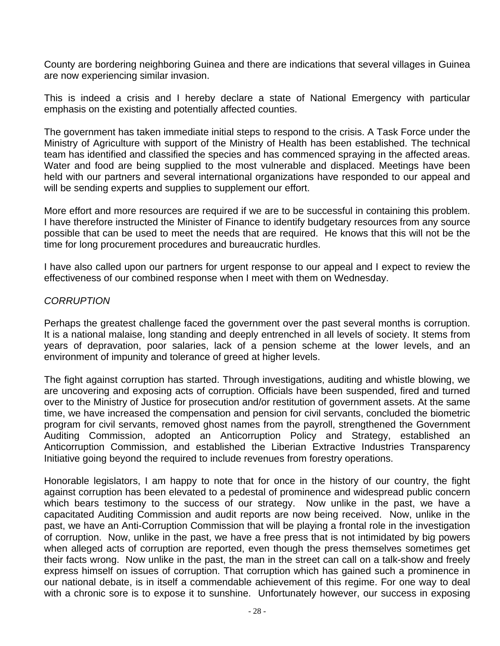County are bordering neighboring Guinea and there are indications that several villages in Guinea are now experiencing similar invasion.

This is indeed a crisis and I hereby declare a state of National Emergency with particular emphasis on the existing and potentially affected counties.

The government has taken immediate initial steps to respond to the crisis. A Task Force under the Ministry of Agriculture with support of the Ministry of Health has been established. The technical team has identified and classified the species and has commenced spraying in the affected areas. Water and food are being supplied to the most vulnerable and displaced. Meetings have been held with our partners and several international organizations have responded to our appeal and will be sending experts and supplies to supplement our effort.

More effort and more resources are required if we are to be successful in containing this problem. I have therefore instructed the Minister of Finance to identify budgetary resources from any source possible that can be used to meet the needs that are required. He knows that this will not be the time for long procurement procedures and bureaucratic hurdles.

I have also called upon our partners for urgent response to our appeal and I expect to review the effectiveness of our combined response when I meet with them on Wednesday.

## *CORRUPTION*

Perhaps the greatest challenge faced the government over the past several months is corruption. It is a national malaise, long standing and deeply entrenched in all levels of society. It stems from years of depravation, poor salaries, lack of a pension scheme at the lower levels, and an environment of impunity and tolerance of greed at higher levels.

The fight against corruption has started. Through investigations, auditing and whistle blowing, we are uncovering and exposing acts of corruption. Officials have been suspended, fired and turned over to the Ministry of Justice for prosecution and/or restitution of government assets. At the same time, we have increased the compensation and pension for civil servants, concluded the biometric program for civil servants, removed ghost names from the payroll, strengthened the Government Auditing Commission, adopted an Anticorruption Policy and Strategy, established an Anticorruption Commission, and established the Liberian Extractive Industries Transparency Initiative going beyond the required to include revenues from forestry operations.

Honorable legislators, I am happy to note that for once in the history of our country, the fight against corruption has been elevated to a pedestal of prominence and widespread public concern which bears testimony to the success of our strategy. Now unlike in the past, we have a capacitated Auditing Commission and audit reports are now being received. Now, unlike in the past, we have an Anti-Corruption Commission that will be playing a frontal role in the investigation of corruption. Now, unlike in the past, we have a free press that is not intimidated by big powers when alleged acts of corruption are reported, even though the press themselves sometimes get their facts wrong. Now unlike in the past, the man in the street can call on a talk-show and freely express himself on issues of corruption. That corruption which has gained such a prominence in our national debate, is in itself a commendable achievement of this regime. For one way to deal with a chronic sore is to expose it to sunshine. Unfortunately however, our success in exposing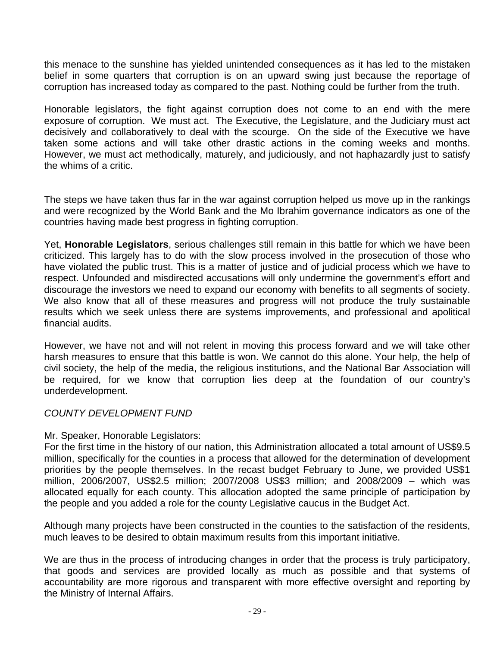this menace to the sunshine has yielded unintended consequences as it has led to the mistaken belief in some quarters that corruption is on an upward swing just because the reportage of corruption has increased today as compared to the past. Nothing could be further from the truth.

Honorable legislators, the fight against corruption does not come to an end with the mere exposure of corruption. We must act. The Executive, the Legislature, and the Judiciary must act decisively and collaboratively to deal with the scourge. On the side of the Executive we have taken some actions and will take other drastic actions in the coming weeks and months. However, we must act methodically, maturely, and judiciously, and not haphazardly just to satisfy the whims of a critic.

The steps we have taken thus far in the war against corruption helped us move up in the rankings and were recognized by the World Bank and the Mo Ibrahim governance indicators as one of the countries having made best progress in fighting corruption.

Yet, **Honorable Legislators**, serious challenges still remain in this battle for which we have been criticized. This largely has to do with the slow process involved in the prosecution of those who have violated the public trust. This is a matter of justice and of judicial process which we have to respect. Unfounded and misdirected accusations will only undermine the government's effort and discourage the investors we need to expand our economy with benefits to all segments of society. We also know that all of these measures and progress will not produce the truly sustainable results which we seek unless there are systems improvements, and professional and apolitical financial audits.

However, we have not and will not relent in moving this process forward and we will take other harsh measures to ensure that this battle is won. We cannot do this alone. Your help, the help of civil society, the help of the media, the religious institutions, and the National Bar Association will be required, for we know that corruption lies deep at the foundation of our country's underdevelopment.

# *COUNTY DEVELOPMENT FUND*

#### Mr. Speaker, Honorable Legislators:

For the first time in the history of our nation, this Administration allocated a total amount of US\$9.5 million, specifically for the counties in a process that allowed for the determination of development priorities by the people themselves. In the recast budget February to June, we provided US\$1 million, 2006/2007, US\$2.5 million; 2007/2008 US\$3 million; and 2008/2009 – which was allocated equally for each county. This allocation adopted the same principle of participation by the people and you added a role for the county Legislative caucus in the Budget Act.

Although many projects have been constructed in the counties to the satisfaction of the residents, much leaves to be desired to obtain maximum results from this important initiative.

We are thus in the process of introducing changes in order that the process is truly participatory, that goods and services are provided locally as much as possible and that systems of accountability are more rigorous and transparent with more effective oversight and reporting by the Ministry of Internal Affairs.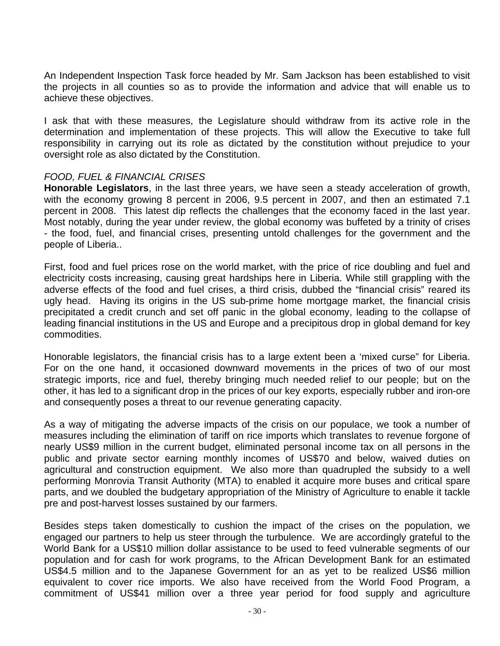An Independent Inspection Task force headed by Mr. Sam Jackson has been established to visit the projects in all counties so as to provide the information and advice that will enable us to achieve these objectives.

I ask that with these measures, the Legislature should withdraw from its active role in the determination and implementation of these projects. This will allow the Executive to take full responsibility in carrying out its role as dictated by the constitution without prejudice to your oversight role as also dictated by the Constitution.

#### *FOOD, FUEL & FINANCIAL CRISES*

**Honorable Legislators**, in the last three years, we have seen a steady acceleration of growth, with the economy growing 8 percent in 2006, 9.5 percent in 2007, and then an estimated 7.1 percent in 2008. This latest dip reflects the challenges that the economy faced in the last year. Most notably, during the year under review, the global economy was buffeted by a trinity of crises - the food, fuel, and financial crises, presenting untold challenges for the government and the people of Liberia..

First, food and fuel prices rose on the world market, with the price of rice doubling and fuel and electricity costs increasing, causing great hardships here in Liberia. While still grappling with the adverse effects of the food and fuel crises, a third crisis, dubbed the "financial crisis" reared its ugly head. Having its origins in the US sub-prime home mortgage market, the financial crisis precipitated a credit crunch and set off panic in the global economy, leading to the collapse of leading financial institutions in the US and Europe and a precipitous drop in global demand for key commodities.

Honorable legislators, the financial crisis has to a large extent been a 'mixed curse" for Liberia. For on the one hand, it occasioned downward movements in the prices of two of our most strategic imports, rice and fuel, thereby bringing much needed relief to our people; but on the other, it has led to a significant drop in the prices of our key exports, especially rubber and iron-ore and consequently poses a threat to our revenue generating capacity.

As a way of mitigating the adverse impacts of the crisis on our populace, we took a number of measures including the elimination of tariff on rice imports which translates to revenue forgone of nearly US\$9 million in the current budget, eliminated personal income tax on all persons in the public and private sector earning monthly incomes of US\$70 and below, waived duties on agricultural and construction equipment. We also more than quadrupled the subsidy to a well performing Monrovia Transit Authority (MTA) to enabled it acquire more buses and critical spare parts, and we doubled the budgetary appropriation of the Ministry of Agriculture to enable it tackle pre and post-harvest losses sustained by our farmers.

Besides steps taken domestically to cushion the impact of the crises on the population, we engaged our partners to help us steer through the turbulence. We are accordingly grateful to the World Bank for a US\$10 million dollar assistance to be used to feed vulnerable segments of our population and for cash for work programs, to the African Development Bank for an estimated US\$4.5 million and to the Japanese Government for an as yet to be realized US\$6 million equivalent to cover rice imports. We also have received from the World Food Program, a commitment of US\$41 million over a three year period for food supply and agriculture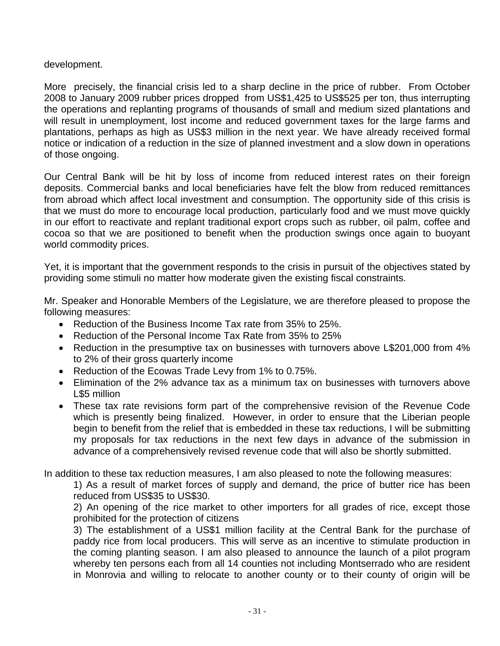## development.

More precisely, the financial crisis led to a sharp decline in the price of rubber. From October 2008 to January 2009 rubber prices dropped from US\$1,425 to US\$525 per ton, thus interrupting the operations and replanting programs of thousands of small and medium sized plantations and will result in unemployment, lost income and reduced government taxes for the large farms and plantations, perhaps as high as US\$3 million in the next year. We have already received formal notice or indication of a reduction in the size of planned investment and a slow down in operations of those ongoing.

Our Central Bank will be hit by loss of income from reduced interest rates on their foreign deposits. Commercial banks and local beneficiaries have felt the blow from reduced remittances from abroad which affect local investment and consumption. The opportunity side of this crisis is that we must do more to encourage local production, particularly food and we must move quickly in our effort to reactivate and replant traditional export crops such as rubber, oil palm, coffee and cocoa so that we are positioned to benefit when the production swings once again to buoyant world commodity prices.

Yet, it is important that the government responds to the crisis in pursuit of the objectives stated by providing some stimuli no matter how moderate given the existing fiscal constraints.

Mr. Speaker and Honorable Members of the Legislature, we are therefore pleased to propose the following measures:

- Reduction of the Business Income Tax rate from 35% to 25%.
- Reduction of the Personal Income Tax Rate from 35% to 25%
- Reduction in the presumptive tax on businesses with turnovers above L\$201,000 from 4% to 2% of their gross quarterly income
- Reduction of the Ecowas Trade Levy from 1% to 0.75%.
- Elimination of the 2% advance tax as a minimum tax on businesses with turnovers above L\$5 million
- These tax rate revisions form part of the comprehensive revision of the Revenue Code which is presently being finalized. However, in order to ensure that the Liberian people begin to benefit from the relief that is embedded in these tax reductions, I will be submitting my proposals for tax reductions in the next few days in advance of the submission in advance of a comprehensively revised revenue code that will also be shortly submitted.

In addition to these tax reduction measures, I am also pleased to note the following measures:

1) As a result of market forces of supply and demand, the price of butter rice has been reduced from US\$35 to US\$30.

2) An opening of the rice market to other importers for all grades of rice, except those prohibited for the protection of citizens

3) The establishment of a US\$1 million facility at the Central Bank for the purchase of paddy rice from local producers. This will serve as an incentive to stimulate production in the coming planting season. I am also pleased to announce the launch of a pilot program whereby ten persons each from all 14 counties not including Montserrado who are resident in Monrovia and willing to relocate to another county or to their county of origin will be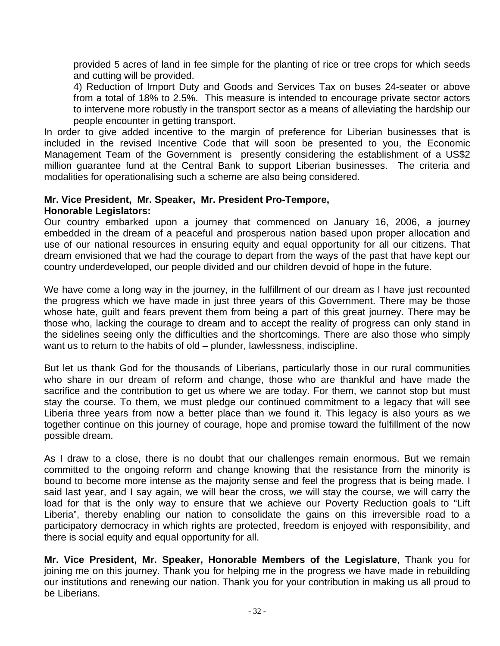provided 5 acres of land in fee simple for the planting of rice or tree crops for which seeds and cutting will be provided.

4) Reduction of Import Duty and Goods and Services Tax on buses 24-seater or above from a total of 18% to 2.5%. This measure is intended to encourage private sector actors to intervene more robustly in the transport sector as a means of alleviating the hardship our people encounter in getting transport.

In order to give added incentive to the margin of preference for Liberian businesses that is included in the revised Incentive Code that will soon be presented to you, the Economic Management Team of the Government is presently considering the establishment of a US\$2 million guarantee fund at the Central Bank to support Liberian businesses. The criteria and modalities for operationalising such a scheme are also being considered.

#### **Mr. Vice President, Mr. Speaker, Mr. President Pro-Tempore, Honorable Legislators:**

Our country embarked upon a journey that commenced on January 16, 2006, a journey embedded in the dream of a peaceful and prosperous nation based upon proper allocation and use of our national resources in ensuring equity and equal opportunity for all our citizens. That dream envisioned that we had the courage to depart from the ways of the past that have kept our country underdeveloped, our people divided and our children devoid of hope in the future.

We have come a long way in the journey, in the fulfillment of our dream as I have just recounted the progress which we have made in just three years of this Government. There may be those whose hate, guilt and fears prevent them from being a part of this great journey. There may be those who, lacking the courage to dream and to accept the reality of progress can only stand in the sidelines seeing only the difficulties and the shortcomings. There are also those who simply want us to return to the habits of old – plunder, lawlessness, indiscipline.

But let us thank God for the thousands of Liberians, particularly those in our rural communities who share in our dream of reform and change, those who are thankful and have made the sacrifice and the contribution to get us where we are today. For them, we cannot stop but must stay the course. To them, we must pledge our continued commitment to a legacy that will see Liberia three years from now a better place than we found it. This legacy is also yours as we together continue on this journey of courage, hope and promise toward the fulfillment of the now possible dream.

As I draw to a close, there is no doubt that our challenges remain enormous. But we remain committed to the ongoing reform and change knowing that the resistance from the minority is bound to become more intense as the majority sense and feel the progress that is being made. I said last year, and I say again, we will bear the cross, we will stay the course, we will carry the load for that is the only way to ensure that we achieve our Poverty Reduction goals to "Lift Liberia", thereby enabling our nation to consolidate the gains on this irreversible road to a participatory democracy in which rights are protected, freedom is enjoyed with responsibility, and there is social equity and equal opportunity for all.

**Mr. Vice President, Mr. Speaker, Honorable Members of the Legislature**, Thank you for joining me on this journey. Thank you for helping me in the progress we have made in rebuilding our institutions and renewing our nation. Thank you for your contribution in making us all proud to be Liberians.